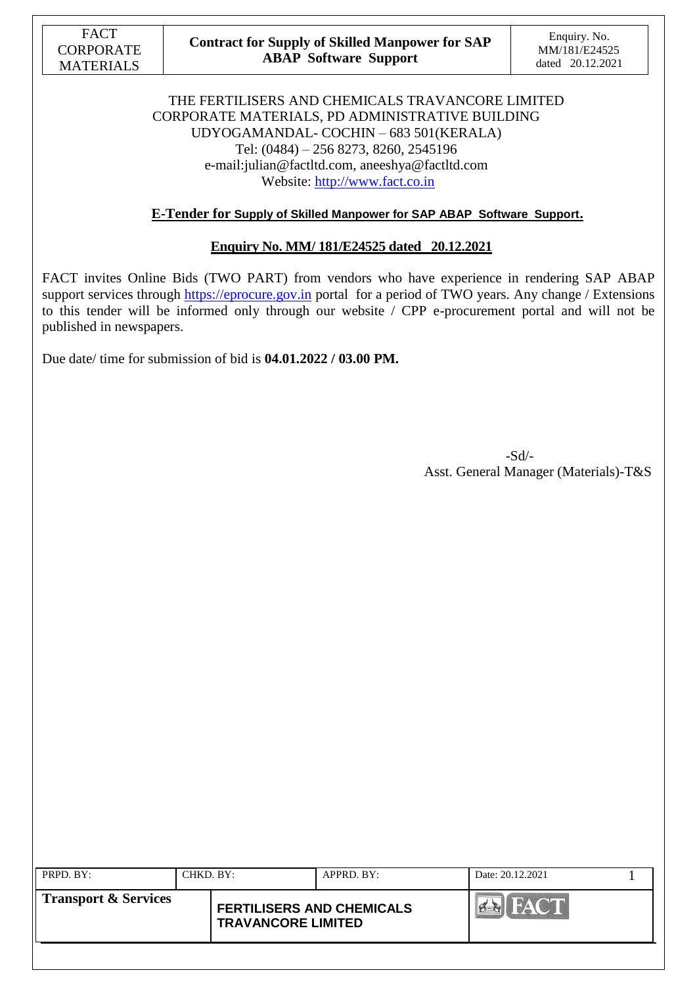

### **Contract for Supply of Skilled Manpower for SAP ABAP Software Support**

### THE FERTILISERS AND CHEMICALS TRAVANCORE LIMITED CORPORATE MATERIALS, PD ADMINISTRATIVE BUILDING UDYOGAMANDAL- COCHIN – 683 501(KERALA) Tel: (0484) – 256 8273, 8260, 2545196 e-mail:julian@factltd.com, aneeshya@factltd.com Website: [http://www.fact.co.in](http://www.fact.co.in/)

### **E-Tender for Supply of Skilled Manpower for SAP ABAP Software Support.**

### **Enquiry No. MM/ 181/E24525 dated 20.12.2021**

FACT invites Online Bids (TWO PART) from vendors who have experience in rendering SAP ABAP support services through [https://eprocure.gov.in](https://eprocure.gov.in/) portal for a period of TWO years. Any change / Extensions to this tender will be informed only through our website / CPP e-procurement portal and will not be published in newspapers.

Due date/ time for submission of bid is **04.01.2022 / 03.00 PM.**

 -Sd/- Asst. General Manager (Materials)-T&S

| PRPD. BY:                       | CHKD. BY: |                                                               | $APPRD$ . $BY$ : | Date: 20.12.2021 |  |
|---------------------------------|-----------|---------------------------------------------------------------|------------------|------------------|--|
| <b>Transport &amp; Services</b> |           | <b>FERTILISERS AND CHEMICALS</b><br><b>TRAVANCORE LIMITED</b> |                  |                  |  |
|                                 |           |                                                               |                  |                  |  |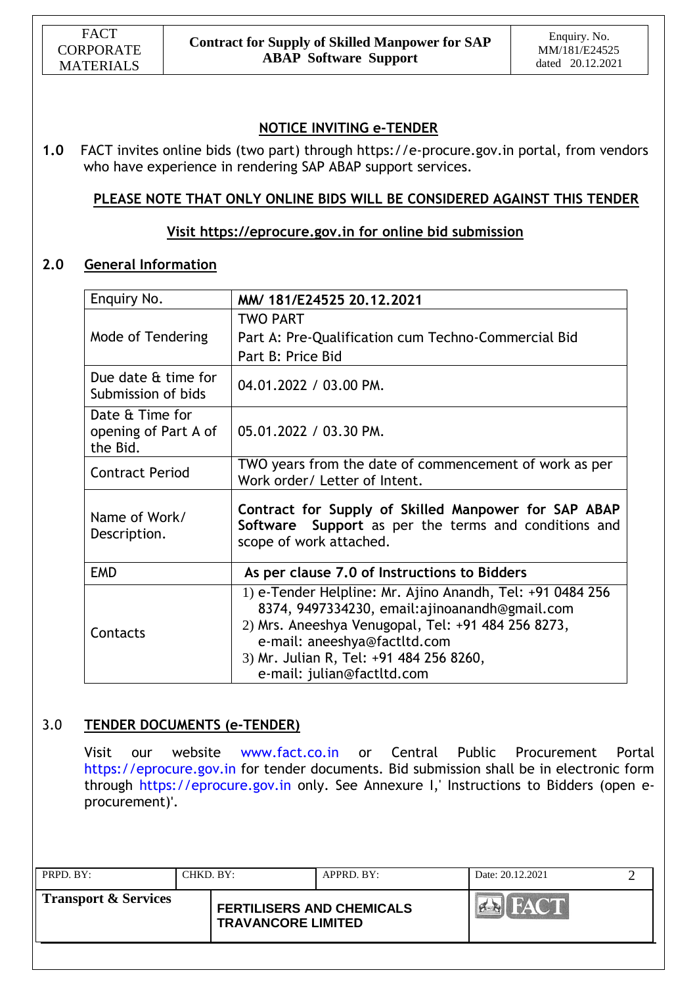# **NOTICE INVITING e-TENDER**

**1.0** FACT invites online bids (two part) through https://e-procure.gov.in portal, from vendors who have experience in rendering SAP ABAP support services.

# **PLEASE NOTE THAT ONLY ONLINE BIDS WILL BE CONSIDERED AGAINST THIS TENDER**

## **Visit [https://eprocure.gov.in](https://eprocure.gov.in/) for online bid submission**

## **2.0 General Information**

| Enquiry No.                                         | MM/ 181/E24525 20.12.2021                                                                                                                                                                                                                                                 |
|-----------------------------------------------------|---------------------------------------------------------------------------------------------------------------------------------------------------------------------------------------------------------------------------------------------------------------------------|
| Mode of Tendering                                   | <b>TWO PART</b><br>Part A: Pre-Qualification cum Techno-Commercial Bid<br>Part B: Price Bid                                                                                                                                                                               |
| Due date & time for<br>Submission of bids           | 04.01.2022 / 03.00 PM.                                                                                                                                                                                                                                                    |
| Date & Time for<br>opening of Part A of<br>the Bid. | 05.01.2022 / 03.30 PM.                                                                                                                                                                                                                                                    |
| <b>Contract Period</b>                              | TWO years from the date of commencement of work as per<br>Work order/ Letter of Intent.                                                                                                                                                                                   |
| Name of Work/<br>Description.                       | Contract for Supply of Skilled Manpower for SAP ABAP<br>Software Support as per the terms and conditions and<br>scope of work attached.                                                                                                                                   |
| <b>EMD</b>                                          | As per clause 7.0 of Instructions to Bidders                                                                                                                                                                                                                              |
| Contacts                                            | 1) e-Tender Helpline: Mr. Ajino Anandh, Tel: +91 0484 256<br>8374, 9497334230, email:ajinoanandh@gmail.com<br>2) Mrs. Aneeshya Venugopal, Tel: +91 484 256 8273,<br>e-mail: aneeshya@factltd.com<br>3) Mr. Julian R, Tel: +91 484 256 8260,<br>e-mail: julian@factltd.com |

# 3.0 **TENDER DOCUMENTS (e-TENDER)**

Visit our website www.fact.co.in or Central Public Procurement Portal https://eprocure.gov.in for tender documents. Bid submission shall be in electronic form through https://eprocure.gov.in only. See Annexure I,' Instructions to Bidders (open eprocurement)'.

| PRPD. BY:                       | CHKD. BY: |                                                               | APPRD. BY: | Date: 20.12.2021 |  |
|---------------------------------|-----------|---------------------------------------------------------------|------------|------------------|--|
| <b>Transport &amp; Services</b> |           | <b>FERTILISERS AND CHEMICALS</b><br><b>TRAVANCORE LIMITED</b> |            | <b>FACT</b>      |  |
|                                 |           |                                                               |            |                  |  |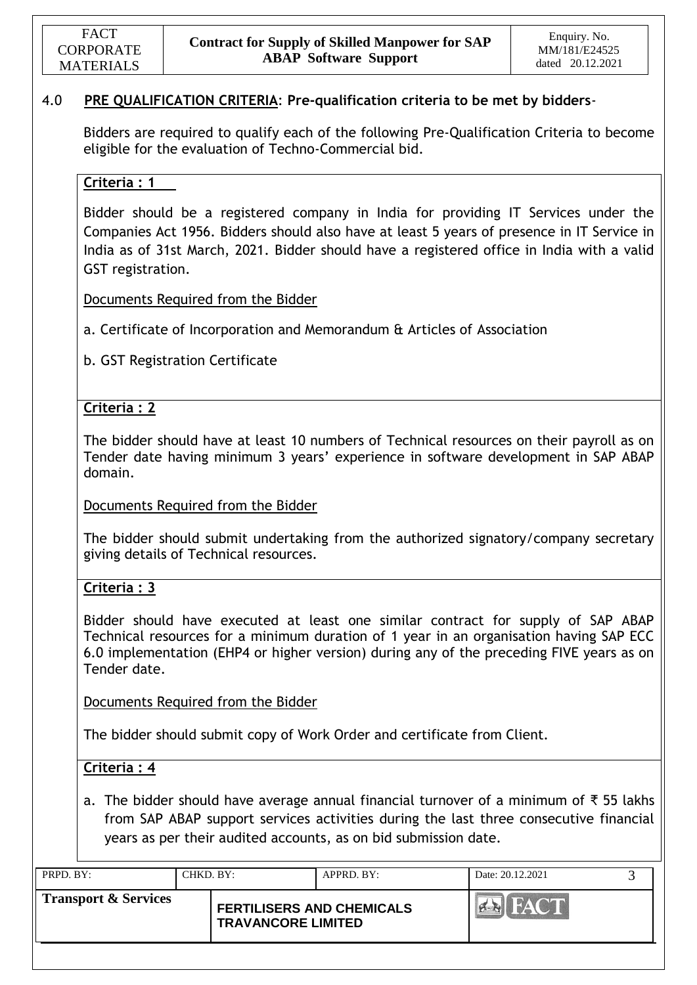## 4.0 **PRE QUALIFICATION CRITERIA**: **Pre-qualification criteria to be met by bidders**-

Bidders are required to qualify each of the following Pre-Qualification Criteria to become eligible for the evaluation of Techno-Commercial bid.

### **Criteria : 1**

Bidder should be a registered company in India for providing IT Services under the Companies Act 1956. Bidders should also have at least 5 years of presence in IT Service in India as of 31st March, 2021. Bidder should have a registered office in India with a valid GST registration.

Documents Required from the Bidder

a. Certificate of Incorporation and Memorandum & Articles of Association

b. GST Registration Certificate

## **Criteria : 2**

The bidder should have at least 10 numbers of Technical resources on their payroll as on Tender date having minimum 3 years' experience in software development in SAP ABAP domain.

Documents Required from the Bidder

The bidder should submit undertaking from the authorized signatory/company secretary giving details of Technical resources.

### **Criteria : 3**

Bidder should have executed at least one similar contract for supply of SAP ABAP Technical resources for a minimum duration of 1 year in an organisation having SAP ECC 6.0 implementation (EHP4 or higher version) during any of the preceding FIVE years as on Tender date.

Documents Required from the Bidder

The bidder should submit copy of Work Order and certificate from Client.

## **Criteria : 4**

a. The bidder should have average annual financial turnover of a minimum of ₹ 55 lakhs from SAP ABAP support services activities during the last three consecutive financial years as per their audited accounts, as on bid submission date.

| <b>Transport &amp; Services</b><br><b>FERTILISERS AND CHEMICALS</b> | Date: 20.12.2021 | $APPRD$ . BY: | CHKD. BY: | PRPD. BY: |
|---------------------------------------------------------------------|------------------|---------------|-----------|-----------|
| <b>TRAVANCORE LIMITED</b>                                           |                  |               |           |           |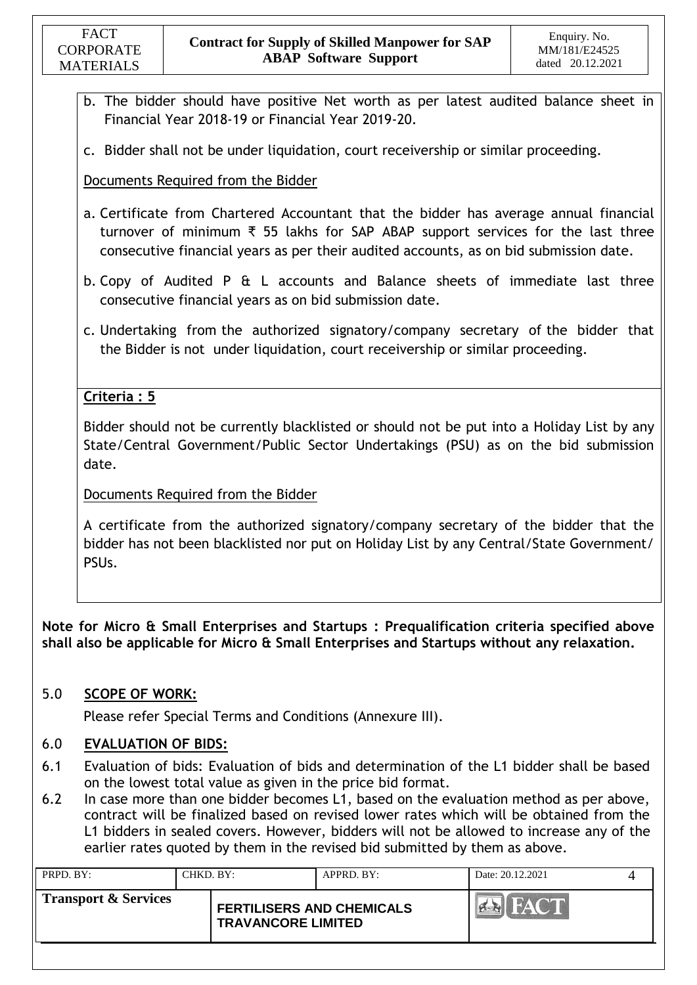- b. The bidder should have positive Net worth as per latest audited balance sheet in Financial Year 2018-19 or Financial Year 2019-20.
- c. Bidder shall not be under liquidation, court receivership or similar proceeding.

Documents Required from the Bidder

- a. Certificate from Chartered Accountant that the bidder has average annual financial turnover of minimum ₹ 55 lakhs for SAP ABAP support services for the last three consecutive financial years as per their audited accounts, as on bid submission date.
- b. Copy of Audited P & L accounts and Balance sheets of immediate last three consecutive financial years as on bid submission date.
- c. Undertaking from the authorized signatory/company secretary of the bidder that the Bidder is not under liquidation, court receivership or similar proceeding.

# **Criteria : 5**

Bidder should not be currently blacklisted or should not be put into a Holiday List by any State/Central Government/Public Sector Undertakings (PSU) as on the bid submission date.

Documents Required from the Bidder

A certificate from the authorized signatory/company secretary of the bidder that the bidder has not been blacklisted nor put on Holiday List by any Central/State Government/ PSUs.

**Note for Micro & Small Enterprises and Startups : Prequalification criteria specified above shall also be applicable for Micro & Small Enterprises and Startups without any relaxation.**

## 5.0 **SCOPE OF WORK:**

Please refer Special Terms and Conditions (Annexure III).

## 6.0 **EVALUATION OF BIDS:**

- 6.1 Evaluation of bids: Evaluation of bids and determination of the L1 bidder shall be based on the lowest total value as given in the price bid format.
- 6.2 In case more than one bidder becomes L1, based on the evaluation method as per above, contract will be finalized based on revised lower rates which will be obtained from the L1 bidders in sealed covers. However, bidders will not be allowed to increase any of the earlier rates quoted by them in the revised bid submitted by them as above.

| PRPD. BY:                       | CHKD. BY: |                                                               | APPRD. BY: | Date: 20.12.2021 |  |
|---------------------------------|-----------|---------------------------------------------------------------|------------|------------------|--|
| <b>Transport &amp; Services</b> |           | <b>FERTILISERS AND CHEMICALS</b><br><b>TRAVANCORE LIMITED</b> |            |                  |  |
|                                 |           |                                                               |            |                  |  |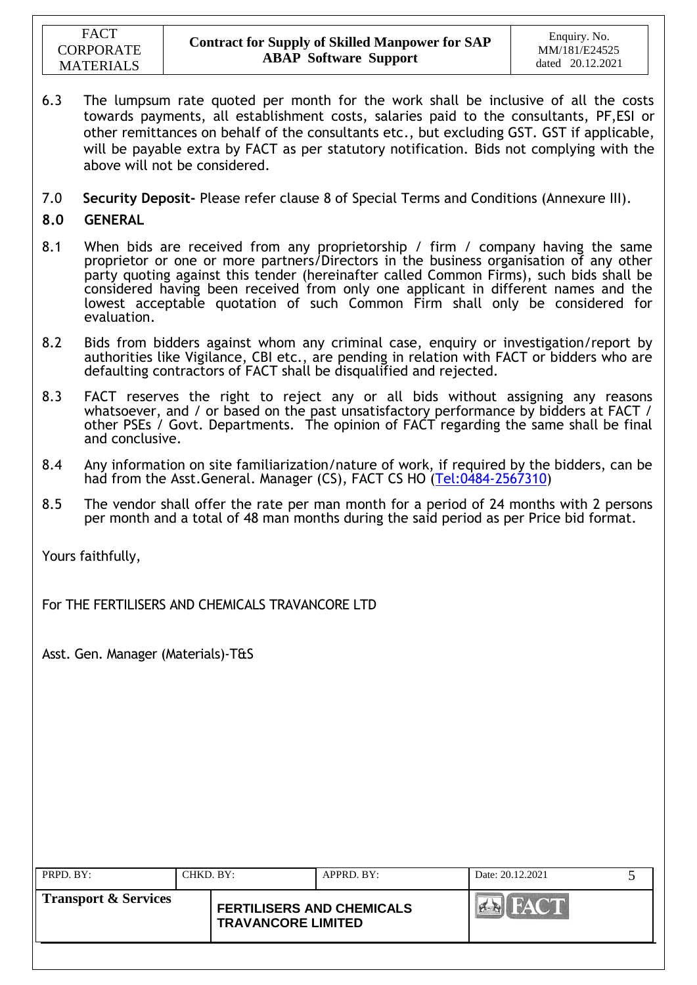- 6.3 The lumpsum rate quoted per month for the work shall be inclusive of all the costs towards payments, all establishment costs, salaries paid to the consultants, PF,ESI or other remittances on behalf of the consultants etc., but excluding GST. GST if applicable, will be payable extra by FACT as per statutory notification. Bids not complying with the above will not be considered.
- 7.0 **Security Deposit-** Please refer clause 8 of Special Terms and Conditions (Annexure III).
- **8.0 GENERAL**
- 8.1 When bids are received from any proprietorship / firm / company having the same proprietor or one or more partners/Directors in the business organisation of any other party quoting against this tender (hereinafter called Common Firms), such bids shall be considered having been received from only one applicant in different names and the lowest acceptable quotation of such Common Firm shall only be considered for evaluation.
- 8.2 Bids from bidders against whom any criminal case, enquiry or investigation/report by authorities like Vigilance, CBI etc., are pending in relation with FACT or bidders who are defaulting contractors of FACT shall be disqualified and rejected.
- 8.3 FACT reserves the right to reject any or all bids without assigning any reasons whatsoever, and / or based on the past unsatisfactory performance by bidders at FACT / other PSEs / Govt. Departments. The opinion of FACT regarding the same shall be final and conclusive.
- 8.4 Any information on site familiarization/nature of work, if required by the bidders, can be had from the Asst.General. Manager (CS), FACT CS HO [\(Tel:0484-2567310\)](Tel:0484-2567310)
- 8.5 The vendor shall offer the rate per man month for a period of 24 months with 2 persons per month and a total of 48 man months during the said period as per Price bid format.

Yours faithfully,

For THE FERTILISERS AND CHEMICALS TRAVANCORE LTD

Asst. Gen. Manager (Materials)-T&S

|                                                                                                  | $APPRD$ . $BY$ : | Date: 20.12.2021 |  |
|--------------------------------------------------------------------------------------------------|------------------|------------------|--|
| <b>Transport &amp; Services</b><br><b>FERTILISERS AND CHEMICALS</b><br><b>TRAVANCORE LIMITED</b> |                  |                  |  |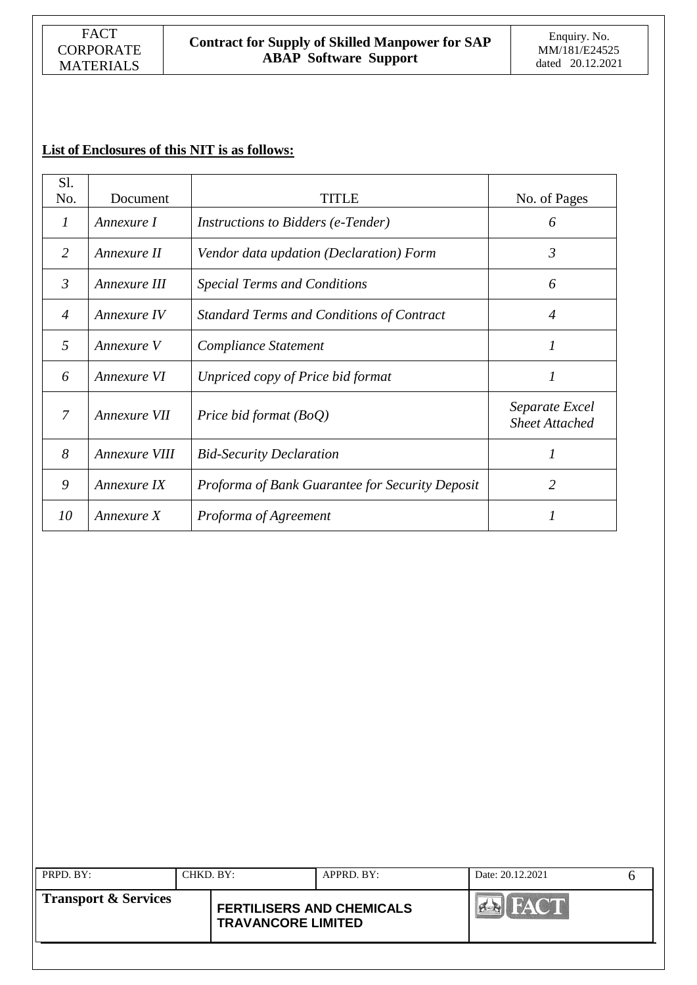# **List of Enclosures of this NIT is as follows:**

| Sl.            |               |                                                 |                                         |
|----------------|---------------|-------------------------------------------------|-----------------------------------------|
| No.            | Document      | TITLE                                           | No. of Pages                            |
| $\prime$       | Annexure I    | <i>Instructions to Bidders (e-Tender)</i>       | 6                                       |
| 2              | Annexure II   | Vendor data updation (Declaration) Form         | $\mathfrak{Z}$                          |
| $\mathfrak{Z}$ | Annexure III  | <b>Special Terms and Conditions</b>             | 6                                       |
| $\overline{4}$ | Annexure IV   | Standard Terms and Conditions of Contract       | 4                                       |
| 5              | Annexure V    | Compliance Statement                            | 1                                       |
| 6              | Annexure VI   | Unpriced copy of Price bid format               | 1                                       |
| $\overline{7}$ | Annexure VII  | Price bid format (BoQ)                          | Separate Excel<br><b>Sheet Attached</b> |
| 8              | Annexure VIII | <b>Bid-Security Declaration</b>                 | 1                                       |
| 9              | Annexure IX   | Proforma of Bank Guarantee for Security Deposit | 2                                       |
| 10             | Annexure X    | Proforma of Agreement                           |                                         |

| <b>Transport &amp; Services</b><br><b>FERTILISERS AND CHEMICALS</b><br><b>TRAVANCORE LIMITED</b> | FACT <sup></sup> |
|--------------------------------------------------------------------------------------------------|------------------|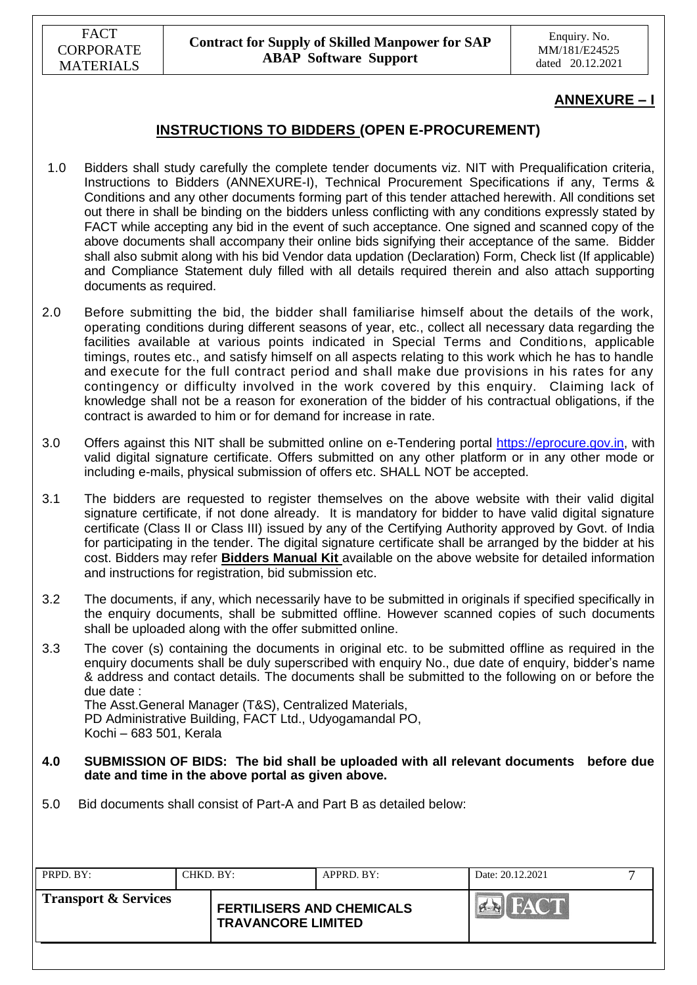## **ANNEXURE – I**

## **INSTRUCTIONS TO BIDDERS (OPEN E-PROCUREMENT)**

- 1.0 Bidders shall study carefully the complete tender documents viz. NIT with Prequalification criteria, Instructions to Bidders (ANNEXURE-I), Technical Procurement Specifications if any, Terms & Conditions and any other documents forming part of this tender attached herewith. All conditions set out there in shall be binding on the bidders unless conflicting with any conditions expressly stated by FACT while accepting any bid in the event of such acceptance. One signed and scanned copy of the above documents shall accompany their online bids signifying their acceptance of the same. Bidder shall also submit along with his bid Vendor data updation (Declaration) Form, Check list (If applicable) and Compliance Statement duly filled with all details required therein and also attach supporting documents as required.
- 2.0 Before submitting the bid, the bidder shall familiarise himself about the details of the work, operating conditions during different seasons of year, etc., collect all necessary data regarding the facilities available at various points indicated in Special Terms and Conditions, applicable timings, routes etc., and satisfy himself on all aspects relating to this work which he has to handle and execute for the full contract period and shall make due provisions in his rates for any contingency or difficulty involved in the work covered by this enquiry. Claiming lack of knowledge shall not be a reason for exoneration of the bidder of his contractual obligations, if the contract is awarded to him or for demand for increase in rate.
- 3.0 Offers against this NIT shall be submitted online on e-Tendering portal [https://eprocure.gov.in,](https://eprocure.gov.in/) with valid digital signature certificate. Offers submitted on any other platform or in any other mode or including e-mails, physical submission of offers etc. SHALL NOT be accepted.
- 3.1 The bidders are requested to register themselves on the above website with their valid digital signature certificate, if not done already. It is mandatory for bidder to have valid digital signature certificate (Class II or Class III) issued by any of the Certifying Authority approved by Govt. of India for participating in the tender. The digital signature certificate shall be arranged by the bidder at his cost. Bidders may refer **Bidders Manual Kit** available on the above website for detailed information and instructions for registration, bid submission etc.
- 3.2 The documents, if any, which necessarily have to be submitted in originals if specified specifically in the enquiry documents, shall be submitted offline. However scanned copies of such documents shall be uploaded along with the offer submitted online.
- 3.3 The cover (s) containing the documents in original etc. to be submitted offline as required in the enquiry documents shall be duly superscribed with enquiry No., due date of enquiry, bidder"s name & address and contact details. The documents shall be submitted to the following on or before the due date : The Asst.General Manager (T&S), Centralized Materials,

PD Administrative Building, FACT Ltd., Udyogamandal PO, Kochi – 683 501, Kerala

- **4.0 SUBMISSION OF BIDS: The bid shall be uploaded with all relevant documents before due date and time in the above portal as given above.**
- 5.0 Bid documents shall consist of Part-A and Part B as detailed below:

| PRPD. BY:                       | CHKD. BY: |                                                               | $APPRD$ . BY: | Date: 20.12.2021    |  |
|---------------------------------|-----------|---------------------------------------------------------------|---------------|---------------------|--|
| <b>Transport &amp; Services</b> |           | <b>FERTILISERS AND CHEMICALS</b><br><b>TRAVANCORE LIMITED</b> |               | <b>FACT</b><br>PLAN |  |
|                                 |           |                                                               |               |                     |  |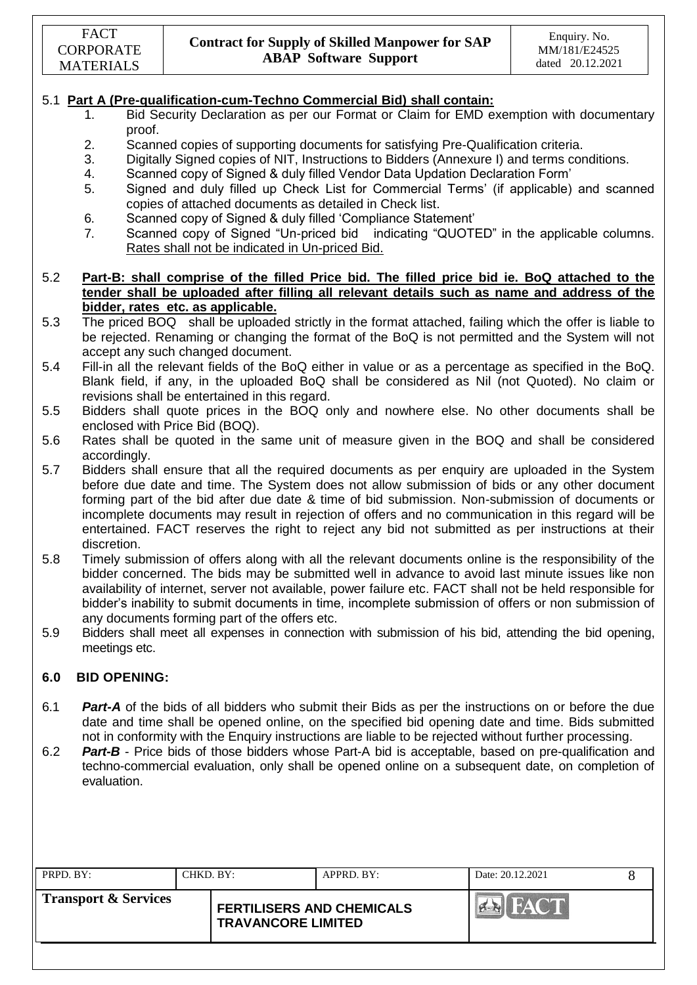### 5.1 **Part A (Pre-qualification-cum-Techno Commercial Bid) shall contain:**

- 1. Bid Security Declaration as per our Format or Claim for EMD exemption with documentary proof.
- 2. Scanned copies of supporting documents for satisfying Pre-Qualification criteria.
- 3. Digitally Signed copies of NIT, Instructions to Bidders (Annexure I) and terms conditions.
- 4. Scanned copy of Signed & duly filled Vendor Data Updation Declaration Form"
- 5. Signed and duly filled up Check List for Commercial Terms" (if applicable) and scanned copies of attached documents as detailed in Check list.
- 6. Scanned copy of Signed & duly filled "Compliance Statement"
- 7. Scanned copy of Signed "Un-priced bid indicating "QUOTED" in the applicable columns. Rates shall not be indicated in Un-priced Bid.

#### 5.2 **Part-B: shall comprise of the filled Price bid. The filled price bid ie. BoQ attached to the tender shall be uploaded after filling all relevant details such as name and address of the bidder, rates etc. as applicable.**

- 5.3 The priced BOQ shall be uploaded strictly in the format attached, failing which the offer is liable to be rejected. Renaming or changing the format of the BoQ is not permitted and the System will not accept any such changed document.
- 5.4 Fill-in all the relevant fields of the BoQ either in value or as a percentage as specified in the BoQ. Blank field, if any, in the uploaded BoQ shall be considered as Nil (not Quoted). No claim or revisions shall be entertained in this regard.
- 5.5 Bidders shall quote prices in the BOQ only and nowhere else. No other documents shall be enclosed with Price Bid (BOQ).
- 5.6 Rates shall be quoted in the same unit of measure given in the BOQ and shall be considered accordingly.
- 5.7 Bidders shall ensure that all the required documents as per enquiry are uploaded in the System before due date and time. The System does not allow submission of bids or any other document forming part of the bid after due date & time of bid submission. Non-submission of documents or incomplete documents may result in rejection of offers and no communication in this regard will be entertained. FACT reserves the right to reject any bid not submitted as per instructions at their discretion.
- 5.8 Timely submission of offers along with all the relevant documents online is the responsibility of the bidder concerned. The bids may be submitted well in advance to avoid last minute issues like non availability of internet, server not available, power failure etc. FACT shall not be held responsible for bidder"s inability to submit documents in time, incomplete submission of offers or non submission of any documents forming part of the offers etc.
- 5.9 Bidders shall meet all expenses in connection with submission of his bid, attending the bid opening, meetings etc.

#### **6.0 BID OPENING:**

- 6.1 *Part-A* of the bids of all bidders who submit their Bids as per the instructions on or before the due date and time shall be opened online, on the specified bid opening date and time. Bids submitted not in conformity with the Enquiry instructions are liable to be rejected without further processing.
- 6.2 *Part-B* Price bids of those bidders whose Part-A bid is acceptable, based on pre-qualification and techno-commercial evaluation, only shall be opened online on a subsequent date, on completion of evaluation.

| PRPD. BY:                       | CHKD. BY: |                                                               | APPRD. BY: | Date: 20.12.2021 |  |
|---------------------------------|-----------|---------------------------------------------------------------|------------|------------------|--|
| <b>Transport &amp; Services</b> |           | <b>FERTILISERS AND CHEMICALS</b><br><b>TRAVANCORE LIMITED</b> |            | <b>FACT</b>      |  |
|                                 |           |                                                               |            |                  |  |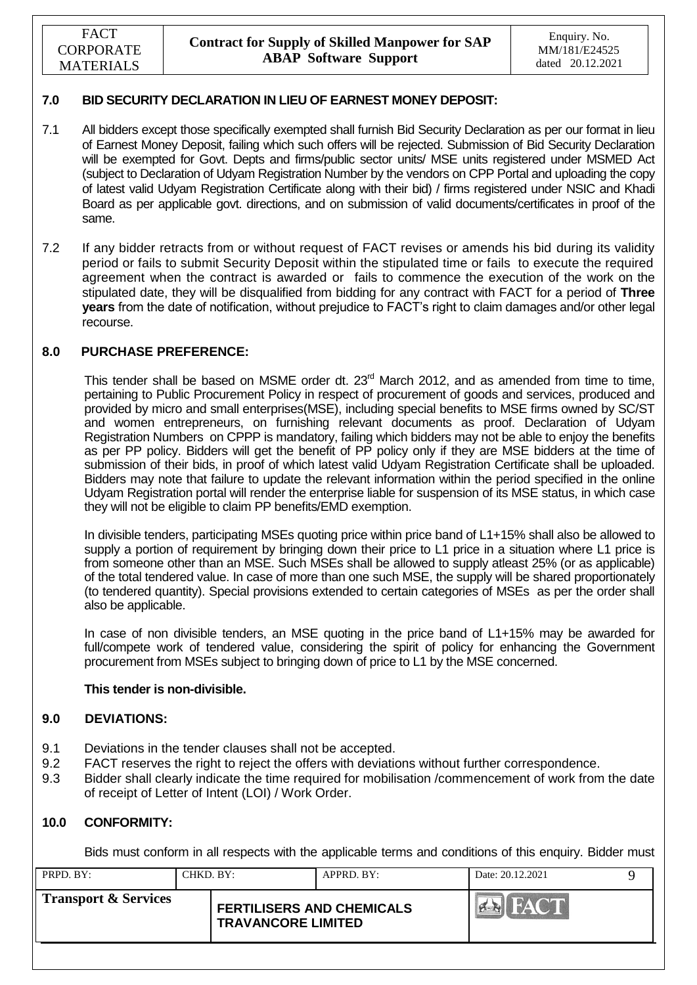### **7.0 BID SECURITY DECLARATION IN LIEU OF EARNEST MONEY DEPOSIT:**

- 7.1 All bidders except those specifically exempted shall furnish Bid Security Declaration as per our format in lieu of Earnest Money Deposit, failing which such offers will be rejected. Submission of Bid Security Declaration will be exempted for Govt. Depts and firms/public sector units/ MSE units registered under MSMED Act (subject to Declaration of Udyam Registration Number by the vendors on CPP Portal and uploading the copy of latest valid Udyam Registration Certificate along with their bid) / firms registered under NSIC and Khadi Board as per applicable govt. directions, and on submission of valid documents/certificates in proof of the same.
- 7.2 If any bidder retracts from or without request of FACT revises or amends his bid during its validity period or fails to submit Security Deposit within the stipulated time or fails to execute the required agreement when the contract is awarded or fails to commence the execution of the work on the stipulated date, they will be disqualified from bidding for any contract with FACT for a period of **Three years** from the date of notification, without prejudice to FACT"s right to claim damages and/or other legal recourse.

#### **8.0 PURCHASE PREFERENCE:**

This tender shall be based on MSME order dt. 23<sup>rd</sup> March 2012, and as amended from time to time, pertaining to Public Procurement Policy in respect of procurement of goods and services, produced and provided by micro and small enterprises(MSE), including special benefits to MSE firms owned by SC/ST and women entrepreneurs, on furnishing relevant documents as proof. Declaration of Udyam Registration Numbers on CPPP is mandatory, failing which bidders may not be able to enjoy the benefits as per PP policy. Bidders will get the benefit of PP policy only if they are MSE bidders at the time of submission of their bids, in proof of which latest valid Udyam Registration Certificate shall be uploaded. Bidders may note that failure to update the relevant information within the period specified in the online Udyam Registration portal will render the enterprise liable for suspension of its MSE status, in which case they will not be eligible to claim PP benefits/EMD exemption.

In divisible tenders, participating MSEs quoting price within price band of L1+15% shall also be allowed to supply a portion of requirement by bringing down their price to L1 price in a situation where L1 price is from someone other than an MSE. Such MSEs shall be allowed to supply atleast 25% (or as applicable) of the total tendered value. In case of more than one such MSE, the supply will be shared proportionately (to tendered quantity). Special provisions extended to certain categories of MSEs as per the order shall also be applicable.

In case of non divisible tenders, an MSE quoting in the price band of L1+15% may be awarded for full/compete work of tendered value, considering the spirit of policy for enhancing the Government procurement from MSEs subject to bringing down of price to L1 by the MSE concerned.

#### **This tender is non-divisible.**

#### **9.0 DEVIATIONS:**

- 9.1 Deviations in the tender clauses shall not be accepted.
- 9.2 FACT reserves the right to reject the offers with deviations without further correspondence.
- 9.3 Bidder shall clearly indicate the time required for mobilisation /commencement of work from the date of receipt of Letter of Intent (LOI) / Work Order.

#### **10.0 CONFORMITY:**

Bids must conform in all respects with the applicable terms and conditions of this enquiry. Bidder must

| PRPD. BY:                       | CHKD. BY: |                                                               | $APPRD$ . $BY$ : | Date: 20.12.2021                                                                         |  |
|---------------------------------|-----------|---------------------------------------------------------------|------------------|------------------------------------------------------------------------------------------|--|
| <b>Transport &amp; Services</b> |           | <b>FERTILISERS AND CHEMICALS</b><br><b>TRAVANCORE LIMITED</b> |                  | <b>FACT</b><br>$\left\Vert \mathbf{Q}\right\Vert$ and $\left\Vert \mathbf{Q}\right\Vert$ |  |
|                                 |           |                                                               |                  |                                                                                          |  |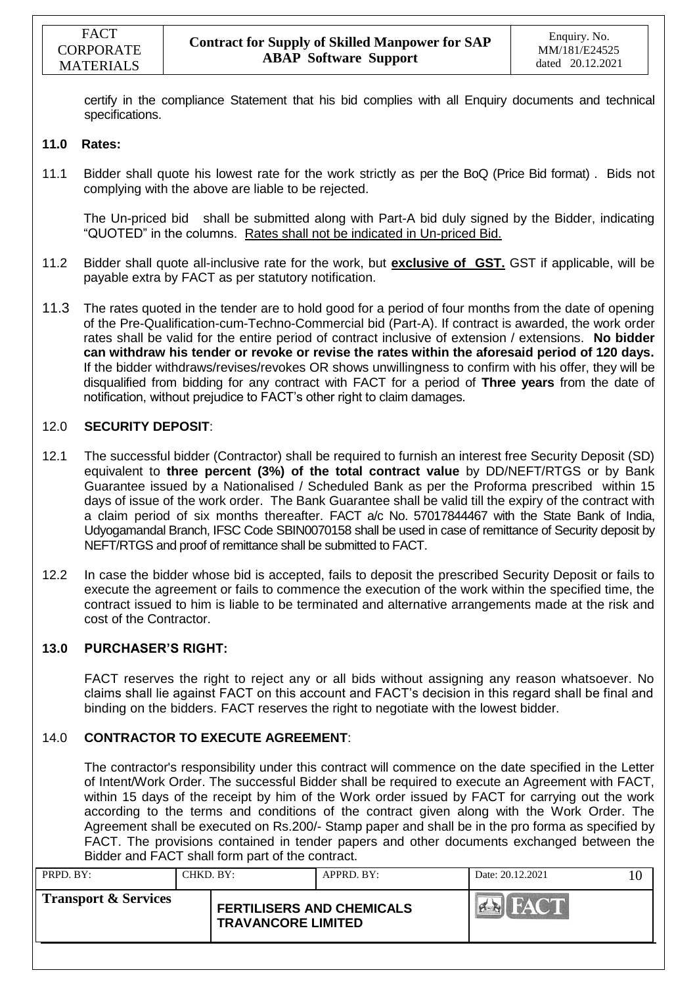certify in the compliance Statement that his bid complies with all Enquiry documents and technical specifications.

#### **11.0 Rates:**

11.1 Bidder shall quote his lowest rate for the work strictly as per the BoQ (Price Bid format) . Bids not complying with the above are liable to be rejected.

The Un-priced bid shall be submitted along with Part-A bid duly signed by the Bidder, indicating "QUOTED" in the columns. Rates shall not be indicated in Un-priced Bid.

- 11.2 Bidder shall quote all-inclusive rate for the work, but **exclusive of GST.** GST if applicable, will be payable extra by FACT as per statutory notification.
- 11.3 The rates quoted in the tender are to hold good for a period of four months from the date of opening of the Pre-Qualification-cum-Techno-Commercial bid (Part-A). If contract is awarded, the work order rates shall be valid for the entire period of contract inclusive of extension / extensions. **No bidder can withdraw his tender or revoke or revise the rates within the aforesaid period of 120 days.** If the bidder withdraws/revises/revokes OR shows unwillingness to confirm with his offer, they will be disqualified from bidding for any contract with FACT for a period of **Three years** from the date of notification, without prejudice to FACT"s other right to claim damages.

### 12.0 **SECURITY DEPOSIT**:

- 12.1 The successful bidder (Contractor) shall be required to furnish an interest free Security Deposit (SD) equivalent to **three percent (3%) of the total contract value** by DD/NEFT/RTGS or by Bank Guarantee issued by a Nationalised / Scheduled Bank as per the Proforma prescribed within 15 days of issue of the work order. The Bank Guarantee shall be valid till the expiry of the contract with a claim period of six months thereafter. FACT a/c No. 57017844467 with the State Bank of India, Udyogamandal Branch, IFSC Code SBIN0070158 shall be used in case of remittance of Security deposit by NEFT/RTGS and proof of remittance shall be submitted to FACT.
- 12.2 In case the bidder whose bid is accepted, fails to deposit the prescribed Security Deposit or fails to execute the agreement or fails to commence the execution of the work within the specified time, the contract issued to him is liable to be terminated and alternative arrangements made at the risk and cost of the Contractor.

### **13.0 PURCHASER'S RIGHT:**

FACT reserves the right to reject any or all bids without assigning any reason whatsoever. No claims shall lie against FACT on this account and FACT"s decision in this regard shall be final and binding on the bidders. FACT reserves the right to negotiate with the lowest bidder.

### 14.0 **CONTRACTOR TO EXECUTE AGREEMENT**:

The contractor's responsibility under this contract will commence on the date specified in the Letter of Intent/Work Order. The successful Bidder shall be required to execute an Agreement with FACT, within 15 days of the receipt by him of the Work order issued by FACT for carrying out the work according to the terms and conditions of the contract given along with the Work Order. The Agreement shall be executed on Rs.200/- Stamp paper and shall be in the pro forma as specified by FACT. The provisions contained in tender papers and other documents exchanged between the Bidder and FACT shall form part of the contract.

| PRPD. BY:                       | CHKD. BY: |                                                               | APPRD. BY: | Date: 20.12.2021                                                  | 10. |
|---------------------------------|-----------|---------------------------------------------------------------|------------|-------------------------------------------------------------------|-----|
| <b>Transport &amp; Services</b> |           | <b>FERTILISERS AND CHEMICALS</b><br><b>TRAVANCORE LIMITED</b> |            | <b>FACT</b><br>$\left  \bigoplus_{i=1}^n \mathbb{E}[x_i] \right $ |     |
|                                 |           |                                                               |            |                                                                   |     |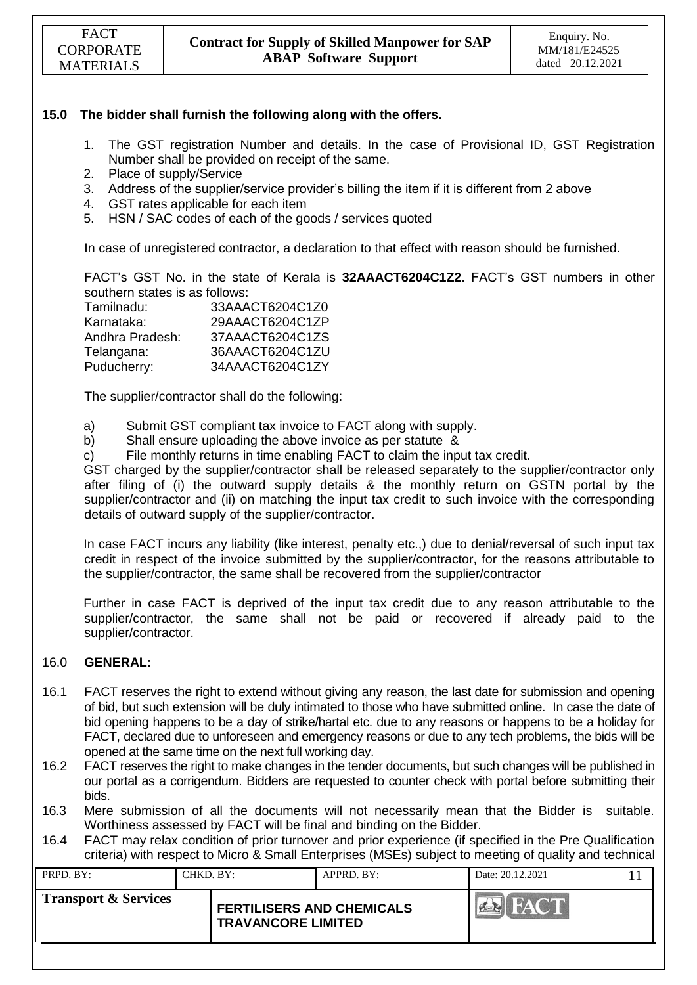### **15.0 The bidder shall furnish the following along with the offers.**

- 1. The GST registration Number and details. In the case of Provisional ID, GST Registration Number shall be provided on receipt of the same.
- 2. Place of supply/Service
- 3. Address of the supplier/service provider"s billing the item if it is different from 2 above
- 4. GST rates applicable for each item
- 5. HSN / SAC codes of each of the goods / services quoted

In case of unregistered contractor, a declaration to that effect with reason should be furnished.

FACT"s GST No. in the state of Kerala is **32AAACT6204C1Z2**. FACT"s GST numbers in other southern states is as follows:

| Tamilnadu:      | 33AAACT6204C1Z0 |
|-----------------|-----------------|
| Karnataka:      | 29AAACT6204C1ZP |
| Andhra Pradesh: | 37AAACT6204C1ZS |
| Telangana:      | 36AAACT6204C1ZU |
| Puducherry:     | 34AAACT6204C1ZY |

The supplier/contractor shall do the following:

- a) Submit GST compliant tax invoice to FACT along with supply.
- b) Shall ensure uploading the above invoice as per statute &
- c) File monthly returns in time enabling FACT to claim the input tax credit.

GST charged by the supplier/contractor shall be released separately to the supplier/contractor only after filing of (i) the outward supply details & the monthly return on GSTN portal by the supplier/contractor and (ii) on matching the input tax credit to such invoice with the corresponding details of outward supply of the supplier/contractor.

In case FACT incurs any liability (like interest, penalty etc.,) due to denial/reversal of such input tax credit in respect of the invoice submitted by the supplier/contractor, for the reasons attributable to the supplier/contractor, the same shall be recovered from the supplier/contractor

Further in case FACT is deprived of the input tax credit due to any reason attributable to the supplier/contractor, the same shall not be paid or recovered if already paid to the supplier/contractor.

#### 16.0 **GENERAL:**

- 16.1 FACT reserves the right to extend without giving any reason, the last date for submission and opening of bid, but such extension will be duly intimated to those who have submitted online. In case the date of bid opening happens to be a day of strike/hartal etc. due to any reasons or happens to be a holiday for FACT, declared due to unforeseen and emergency reasons or due to any tech problems, the bids will be opened at the same time on the next full working day.
- 16.2 FACT reserves the right to make changes in the tender documents, but such changes will be published in our portal as a corrigendum. Bidders are requested to counter check with portal before submitting their bids.
- 16.3 Mere submission of all the documents will not necessarily mean that the Bidder is suitable. Worthiness assessed by FACT will be final and binding on the Bidder.
- 16.4 FACT may relax condition of prior turnover and prior experience (if specified in the Pre Qualification criteria) with respect to Micro & Small Enterprises (MSEs) subject to meeting of quality and technical

| <b>Transport &amp; Services</b><br><b>FERTILISERS AND CHEMICALS</b><br><b>TRAVANCORE LIMITED</b> | HAC'L |
|--------------------------------------------------------------------------------------------------|-------|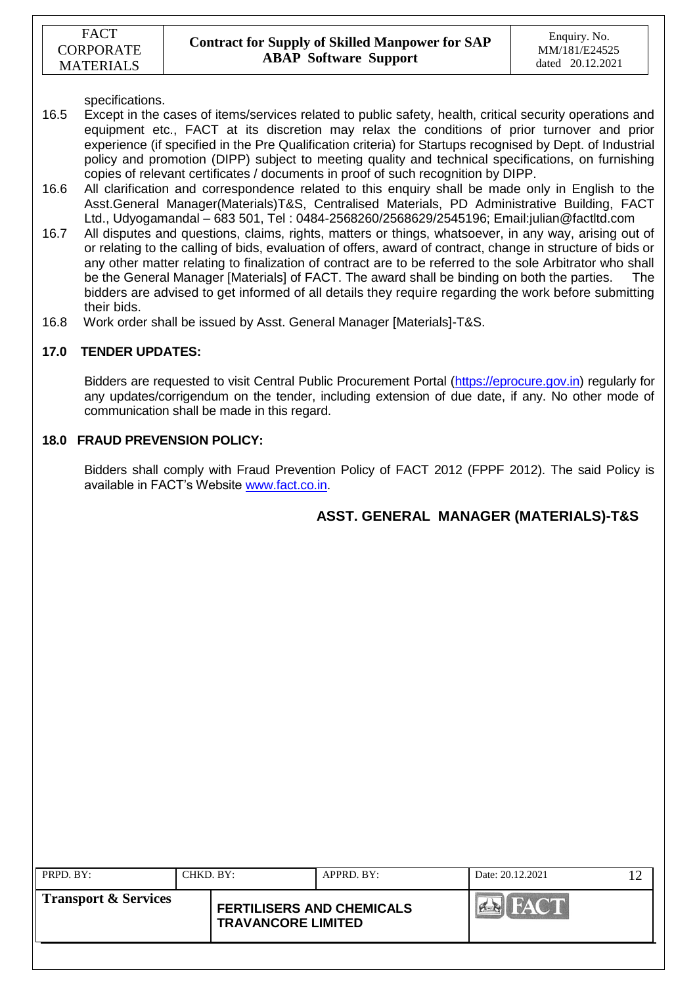specifications.

- 16.5 Except in the cases of items/services related to public safety, health, critical security operations and equipment etc., FACT at its discretion may relax the conditions of prior turnover and prior experience (if specified in the Pre Qualification criteria) for Startups recognised by Dept. of Industrial policy and promotion (DIPP) subject to meeting quality and technical specifications, on furnishing copies of relevant certificates / documents in proof of such recognition by DIPP.
- 16.6 All clarification and correspondence related to this enquiry shall be made only in English to the Asst.General Manager(Materials)T&S, Centralised Materials, PD Administrative Building, FACT Ltd., Udyogamandal – 683 501, Tel : 0484-2568260/2568629/2545196; Email:julian@factltd.com
- 16.7 All disputes and questions, claims, rights, matters or things, whatsoever, in any way, arising out of or relating to the calling of bids, evaluation of offers, award of contract, change in structure of bids or any other matter relating to finalization of contract are to be referred to the sole Arbitrator who shall be the General Manager [Materials] of FACT. The award shall be binding on both the parties. The bidders are advised to get informed of all details they require regarding the work before submitting their bids.
- 16.8 Work order shall be issued by Asst. General Manager [Materials]-T&S.

### **17.0 TENDER UPDATES:**

Bidders are requested to visit Central Public Procurement Portal [\(https://eprocure.gov.in\)](https://eprocure.gov.in/) regularly for any updates/corrigendum on the tender, including extension of due date, if any. No other mode of communication shall be made in this regard.

#### **18.0 FRAUD PREVENSION POLICY:**

Bidders shall comply with Fraud Prevention Policy of FACT 2012 (FPPF 2012). The said Policy is available in FACT"s Website [www.fact.co.in.](http://www.fact.co.in/)

### **ASST. GENERAL MANAGER (MATERIALS)-T&S**

| PRPD. BY:            | CHKD. BY: |                                                               | $APPRD$ . BY: | Date: 20.12.2021 |  |
|----------------------|-----------|---------------------------------------------------------------|---------------|------------------|--|
| Transport & Services |           | <b>FERTILISERS AND CHEMICALS</b><br><b>TRAVANCORE LIMITED</b> |               |                  |  |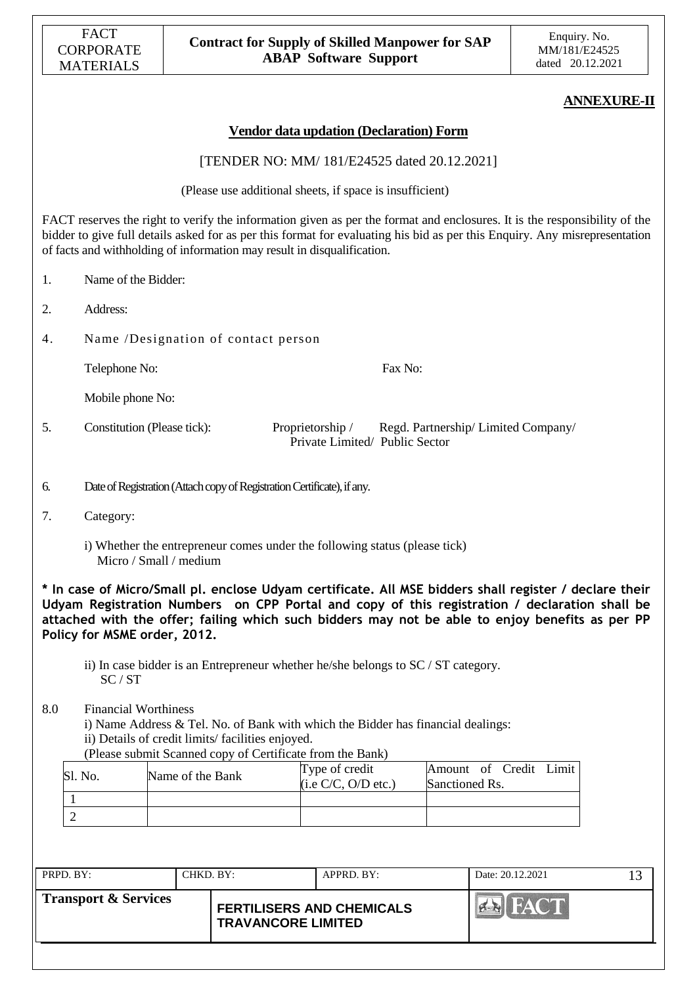|           | <b>FACT</b><br><b>CORPORATE</b><br><b>MATERIALS</b> |                        |                                                  | <b>Contract for Supply of Skilled Manpower for SAP</b><br><b>ABAP Software Support</b>                                                        |                                          | Enquiry. No.<br>MM/181/E24525<br>dated 20.12.2021                                                                                                                                                                                                                                                          |
|-----------|-----------------------------------------------------|------------------------|--------------------------------------------------|-----------------------------------------------------------------------------------------------------------------------------------------------|------------------------------------------|------------------------------------------------------------------------------------------------------------------------------------------------------------------------------------------------------------------------------------------------------------------------------------------------------------|
|           |                                                     |                        |                                                  |                                                                                                                                               |                                          | <b>ANNEXURE-II</b>                                                                                                                                                                                                                                                                                         |
|           |                                                     |                        |                                                  | <b>Vendor data updation (Declaration) Form</b>                                                                                                |                                          |                                                                                                                                                                                                                                                                                                            |
|           |                                                     |                        |                                                  | [TENDER NO: MM/ 181/E24525 dated 20.12.2021]                                                                                                  |                                          |                                                                                                                                                                                                                                                                                                            |
|           |                                                     |                        |                                                  | (Please use additional sheets, if space is insufficient)                                                                                      |                                          |                                                                                                                                                                                                                                                                                                            |
|           |                                                     |                        |                                                  | of facts and withholding of information may result in disqualification.                                                                       |                                          | FACT reserves the right to verify the information given as per the format and enclosures. It is the responsibility of the<br>bidder to give full details asked for as per this format for evaluating his bid as per this Enquiry. Any misrepresentation                                                    |
| 1.        | Name of the Bidder:                                 |                        |                                                  |                                                                                                                                               |                                          |                                                                                                                                                                                                                                                                                                            |
| 2.        | Address:                                            |                        |                                                  |                                                                                                                                               |                                          |                                                                                                                                                                                                                                                                                                            |
| 4.        |                                                     |                        | Name /Designation of contact person              |                                                                                                                                               |                                          |                                                                                                                                                                                                                                                                                                            |
|           | Telephone No:                                       |                        |                                                  | Fax No:                                                                                                                                       |                                          |                                                                                                                                                                                                                                                                                                            |
|           | Mobile phone No:                                    |                        |                                                  |                                                                                                                                               |                                          |                                                                                                                                                                                                                                                                                                            |
| 5.        | Constitution (Please tick):                         |                        |                                                  | Proprietorship /<br>Private Limited/ Public Sector                                                                                            | Regd. Partnership/Limited Company/       |                                                                                                                                                                                                                                                                                                            |
| 6.        |                                                     |                        |                                                  | Date of Registration (Attach copy of Registration Certificate), if any.                                                                       |                                          |                                                                                                                                                                                                                                                                                                            |
| 7.        | Category:                                           |                        |                                                  |                                                                                                                                               |                                          |                                                                                                                                                                                                                                                                                                            |
|           |                                                     | Micro / Small / medium |                                                  | i) Whether the entrepreneur comes under the following status (please tick)                                                                    |                                          |                                                                                                                                                                                                                                                                                                            |
|           | Policy for MSME order, 2012.<br>SC/ST               |                        |                                                  | ii) In case bidder is an Entrepreneur whether he/she belongs to SC / ST category.                                                             |                                          | * In case of Micro/Small pl. enclose Udyam certificate. All MSE bidders shall register / declare their<br>Udyam Registration Numbers on CPP Portal and copy of this registration / declaration shall be<br>attached with the offer; failing which such bidders may not be able to enjoy benefits as per PP |
| 8.0       | <b>Financial Worthiness</b>                         |                        | ii) Details of credit limits/facilities enjoyed. | i) Name Address & Tel. No. of Bank with which the Bidder has financial dealings:<br>(Please submit Scanned copy of Certificate from the Bank) |                                          |                                                                                                                                                                                                                                                                                                            |
|           | Sl. No.                                             | Name of the Bank       |                                                  | Type of credit<br>(i.e C/C, O/D etc.)                                                                                                         | Amount of Credit Limit<br>Sanctioned Rs. |                                                                                                                                                                                                                                                                                                            |
| 1         |                                                     |                        |                                                  |                                                                                                                                               |                                          |                                                                                                                                                                                                                                                                                                            |
|           | $\overline{2}$                                      |                        |                                                  |                                                                                                                                               |                                          |                                                                                                                                                                                                                                                                                                            |
|           |                                                     |                        |                                                  |                                                                                                                                               |                                          |                                                                                                                                                                                                                                                                                                            |
| PRPD. BY: |                                                     | CHKD. BY:              |                                                  | APPRD. BY:                                                                                                                                    |                                          | Date: 20.12.2021<br>13                                                                                                                                                                                                                                                                                     |
|           | <b>Transport &amp; Services</b>                     |                        |                                                  | <b>FERTILISERS AND CHEMICALS</b><br><b>TRAVANCORE LIMITED</b>                                                                                 | ER HA                                    |                                                                                                                                                                                                                                                                                                            |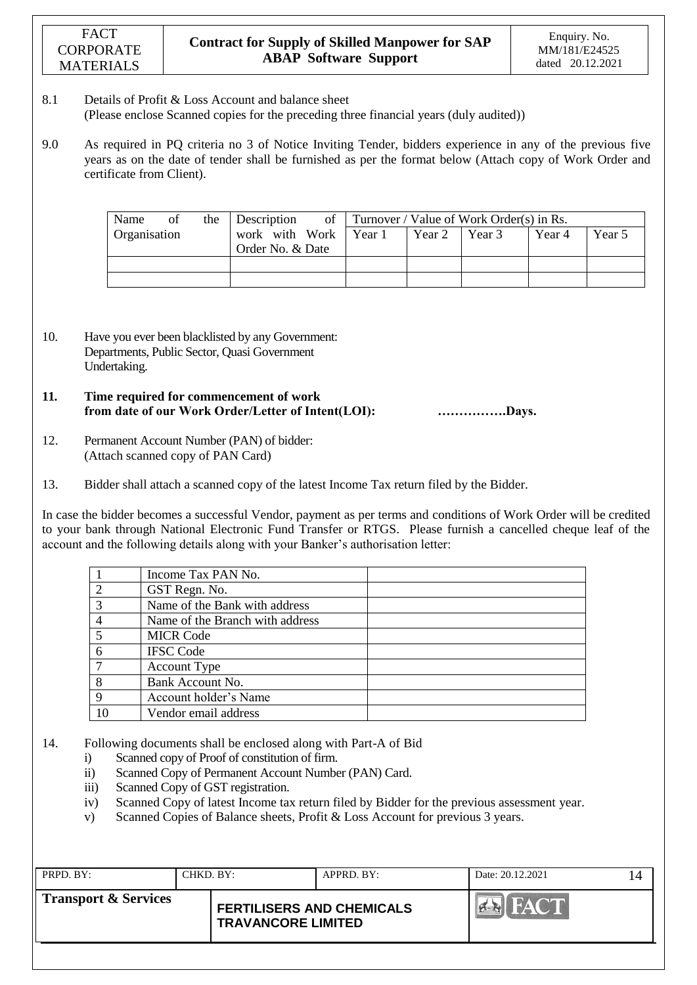#### 8.1 Details of Profit & Loss Account and balance sheet (Please enclose Scanned copies for the preceding three financial years (duly audited))

9.0 As required in PQ criteria no 3 of Notice Inviting Tender, bidders experience in any of the previous five years as on the date of tender shall be furnished as per the format below (Attach copy of Work Order and certificate from Client).

| Name         | οt | the | <b>Description</b>                          |        | of Turnover / Value of Work Order(s) in Rs. |        |        |
|--------------|----|-----|---------------------------------------------|--------|---------------------------------------------|--------|--------|
| Organisation |    |     | work with Work   Year 1<br>Order No. & Date | Year 2 | Year 3                                      | Year 4 | Year 5 |
|              |    |     |                                             |        |                                             |        |        |
|              |    |     |                                             |        |                                             |        |        |

- 10. Have you ever been blacklisted by any Government: Departments, Public Sector, Quasi Government Undertaking.
- **11. Time required for commencement of work from date of our Work Order/Letter of Intent(LOI): …………….Days.**
- 12. Permanent Account Number (PAN) of bidder: (Attach scanned copy of PAN Card)
- 13. Bidder shall attach a scanned copy of the latest Income Tax return filed by the Bidder.

In case the bidder becomes a successful Vendor, payment as per terms and conditions of Work Order will be credited to your bank through National Electronic Fund Transfer or RTGS. Please furnish a cancelled cheque leaf of the account and the following details along with your Banker's authorisation letter:

|                | Income Tax PAN No.              |  |
|----------------|---------------------------------|--|
| $\overline{2}$ | GST Regn. No.                   |  |
| 3              | Name of the Bank with address   |  |
|                | Name of the Branch with address |  |
| 5              | <b>MICR Code</b>                |  |
| 6              | <b>IFSC Code</b>                |  |
|                | <b>Account Type</b>             |  |
| 8              | Bank Account No.                |  |
| 9              | Account holder's Name           |  |
| 10             | Vendor email address            |  |

- 14. Following documents shall be enclosed along with Part-A of Bid
	- i) Scanned copy of Proof of constitution of firm.
	- ii) Scanned Copy of Permanent Account Number (PAN) Card.
	- iii) Scanned Copy of GST registration.
	- iv) Scanned Copy of latest Income tax return filed by Bidder for the previous assessment year.
	- v) Scanned Copies of Balance sheets, Profit & Loss Account for previous 3 years.

| PRPD. BY:            | CHKD. BY: |                                                               | APPRD. BY: | Date: 20.12.2021 |  |
|----------------------|-----------|---------------------------------------------------------------|------------|------------------|--|
| Transport & Services |           | <b>FERTILISERS AND CHEMICALS</b><br><b>TRAVANCORE LIMITED</b> |            |                  |  |
|                      |           |                                                               |            |                  |  |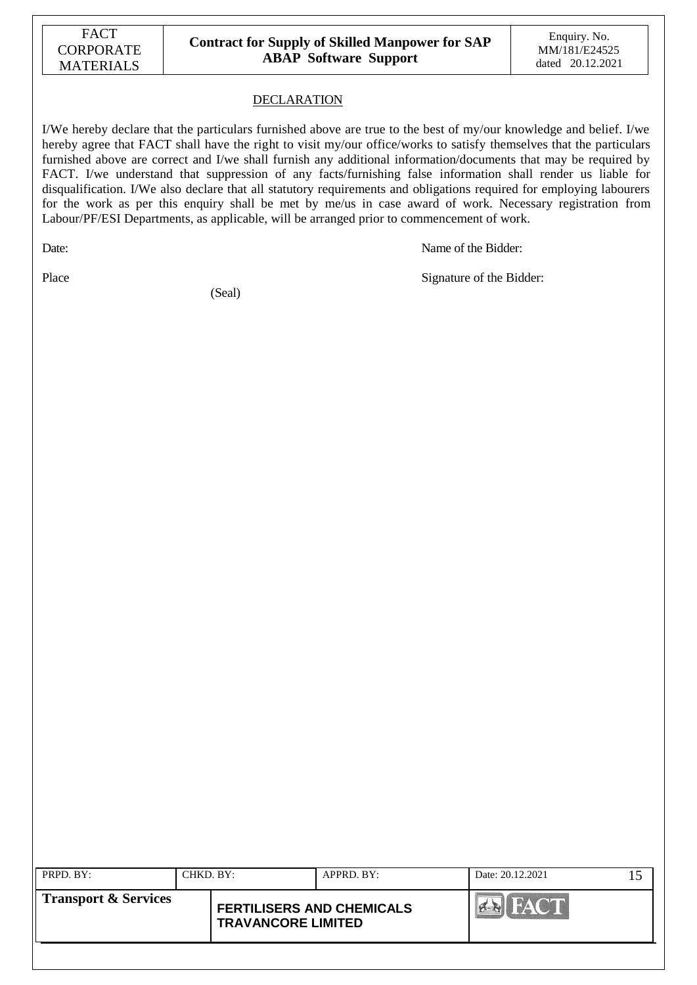#### DECLARATION

I/We hereby declare that the particulars furnished above are true to the best of my/our knowledge and belief. I/we hereby agree that FACT shall have the right to visit my/our office/works to satisfy themselves that the particulars furnished above are correct and I/we shall furnish any additional information/documents that may be required by FACT. I/we understand that suppression of any facts/furnishing false information shall render us liable for disqualification. I/We also declare that all statutory requirements and obligations required for employing labourers for the work as per this enquiry shall be met by me/us in case award of work. Necessary registration from Labour/PF/ESI Departments, as applicable, will be arranged prior to commencement of work.

Date: Name of the Bidder:

(Seal)

Place Signature of the Bidder:

| PRPD. BY:                       | CHKD, BY: |                                                               | $APPRD$ . BY: | Date: 20.12.2021 |  |
|---------------------------------|-----------|---------------------------------------------------------------|---------------|------------------|--|
| <b>Transport &amp; Services</b> |           | <b>FERTILISERS AND CHEMICALS</b><br><b>TRAVANCORE LIMITED</b> |               | <b>FACT</b>      |  |
|                                 |           |                                                               |               |                  |  |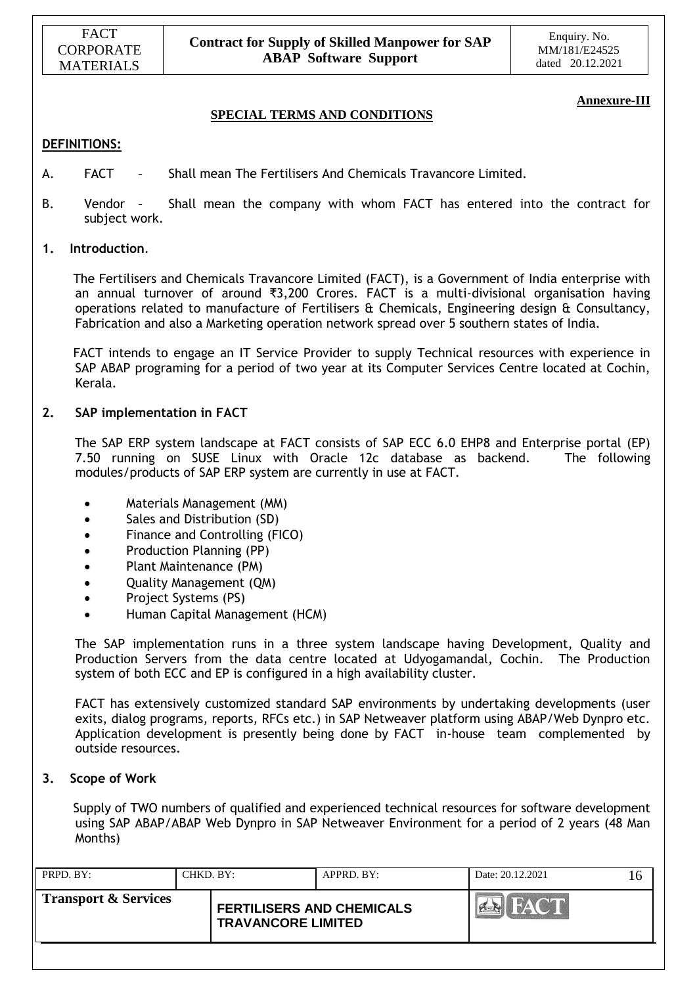### **Annexure-III**

### **SPECIAL TERMS AND CONDITIONS**

#### **DEFINITIONS:**

- A. FACT Shall mean The Fertilisers And Chemicals Travancore Limited.
- B. Vendor Shall mean the company with whom FACT has entered into the contract for subject work.

#### **1. Introduction**.

 The Fertilisers and Chemicals Travancore Limited (FACT), is a Government of India enterprise with an annual turnover of around ₹3,200 Crores. FACT is a multi-divisional organisation having operations related to manufacture of Fertilisers  $\alpha$  Chemicals, Engineering design  $\alpha$  Consultancy, Fabrication and also a Marketing operation network spread over 5 southern states of India.

 FACT intends to engage an IT Service Provider to supply Technical resources with experience in SAP ABAP programing for a period of two year at its Computer Services Centre located at Cochin, Kerala.

#### **2. SAP implementation in FACT**

 The SAP ERP system landscape at FACT consists of SAP ECC 6.0 EHP8 and Enterprise portal (EP) 7.50 running on SUSE Linux with Oracle 12c database as backend. The following modules/products of SAP ERP system are currently in use at FACT.

- Materials Management (MM)
- Sales and Distribution (SD)
- Finance and Controlling (FICO)
- Production Planning (PP)
- Plant Maintenance (PM)
- Quality Management (QM)
- Project Systems (PS)
- Human Capital Management (HCM)

 The SAP implementation runs in a three system landscape having Development, Quality and Production Servers from the data centre located at Udyogamandal, Cochin. The Production system of both ECC and EP is configured in a high availability cluster.

FACT has extensively customized standard SAP environments by undertaking developments (user exits, dialog programs, reports, RFCs etc.) in SAP Netweaver platform using ABAP/Web Dynpro etc. Application development is presently being done by FACT in-house team complemented by outside resources.

#### **3. Scope of Work**

 Supply of TWO numbers of qualified and experienced technical resources for software development using SAP ABAP/ABAP Web Dynpro in SAP Netweaver Environment for a period of 2 years (48 Man Months)

| PRPD. BY:                       | CHKD. BY: |                                                               | $APPRD$ . $BY$ : | Date: 20.12.2021 | I h |
|---------------------------------|-----------|---------------------------------------------------------------|------------------|------------------|-----|
| <b>Transport &amp; Services</b> |           | <b>FERTILISERS AND CHEMICALS</b><br><b>TRAVANCORE LIMITED</b> |                  |                  |     |
|                                 |           |                                                               |                  |                  |     |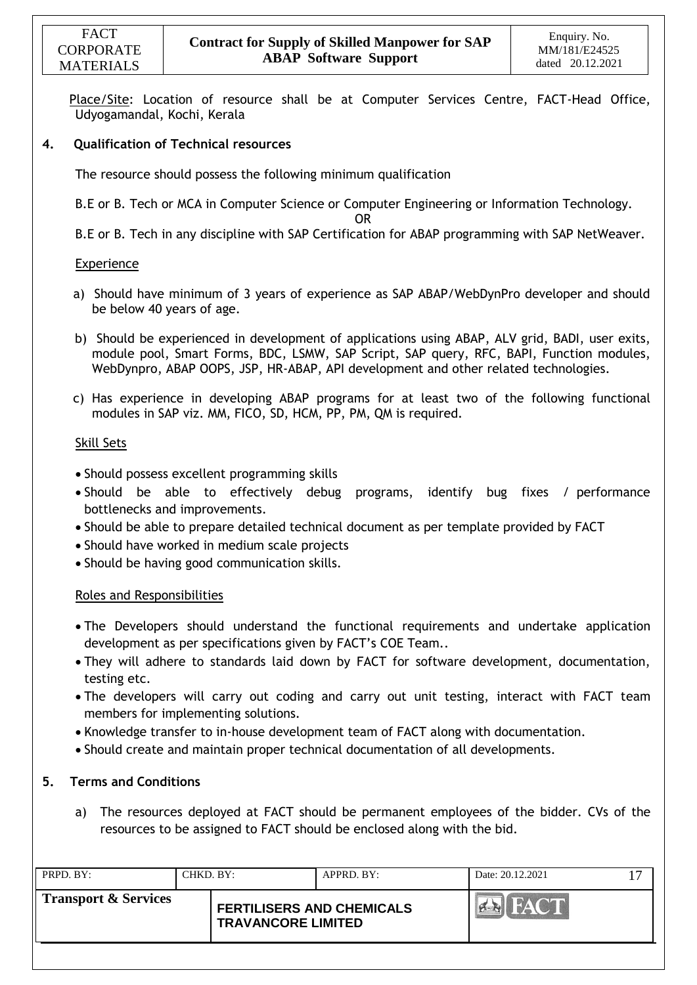Place/Site: Location of resource shall be at Computer Services Centre, FACT-Head Office, Udyogamandal, Kochi, Kerala

### **4. Qualification of Technical resources**

The resource should possess the following minimum qualification

B.E or B. Tech or MCA in Computer Science or Computer Engineering or Information Technology.

OR

B.E or B. Tech in any discipline with SAP Certification for ABAP programming with SAP NetWeaver.

#### Experience

- a) Should have minimum of 3 years of experience as SAP ABAP/WebDynPro developer and should be below 40 years of age.
- b) Should be experienced in development of applications using ABAP, ALV grid, BADI, user exits, module pool, Smart Forms, BDC, LSMW, SAP Script, SAP query, RFC, BAPI, Function modules, WebDynpro, ABAP OOPS, JSP, HR-ABAP, API development and other related technologies.
- c) Has experience in developing ABAP programs for at least two of the following functional modules in SAP viz. MM, FICO, SD, HCM, PP, PM, QM is required.

#### Skill Sets

- Should possess excellent programming skills
- Should be able to effectively debug programs, identify bug fixes / performance bottlenecks and improvements.
- Should be able to prepare detailed technical document as per template provided by FACT
- Should have worked in medium scale projects
- Should be having good communication skills.

#### Roles and Responsibilities

- The Developers should understand the functional requirements and undertake application development as per specifications given by FACT's COE Team..
- They will adhere to standards laid down by FACT for software development, documentation, testing etc.
- The developers will carry out coding and carry out unit testing, interact with FACT team members for implementing solutions.
- Knowledge transfer to in-house development team of FACT along with documentation.
- Should create and maintain proper technical documentation of all developments.

#### **5. Terms and Conditions**

a) The resources deployed at FACT should be permanent employees of the bidder. CVs of the resources to be assigned to FACT should be enclosed along with the bid.

| <b>Transport &amp; Services</b><br><b>FERTILISERS AND CHEMICALS</b><br><b>TRAVANCORE LIMITED</b> | PRPD. BY: | CHKD. BY: | APPRD. BY: | Date: 20.12.2021 |  |
|--------------------------------------------------------------------------------------------------|-----------|-----------|------------|------------------|--|
|                                                                                                  |           |           |            |                  |  |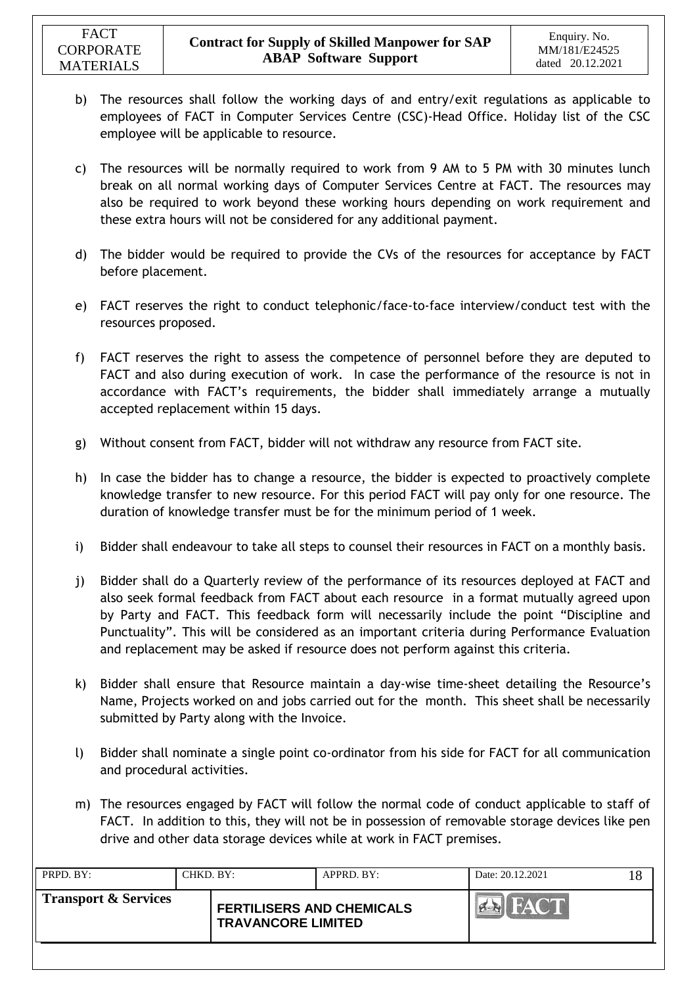- b) The resources shall follow the working days of and entry/exit regulations as applicable to employees of FACT in Computer Services Centre (CSC)-Head Office. Holiday list of the CSC employee will be applicable to resource.
- c) The resources will be normally required to work from 9 AM to 5 PM with 30 minutes lunch break on all normal working days of Computer Services Centre at FACT. The resources may also be required to work beyond these working hours depending on work requirement and these extra hours will not be considered for any additional payment.
- d) The bidder would be required to provide the CVs of the resources for acceptance by FACT before placement.
- e) FACT reserves the right to conduct telephonic/face-to-face interview/conduct test with the resources proposed.
- f) FACT reserves the right to assess the competence of personnel before they are deputed to FACT and also during execution of work. In case the performance of the resource is not in accordance with FACT's requirements, the bidder shall immediately arrange a mutually accepted replacement within 15 days.
- g) Without consent from FACT, bidder will not withdraw any resource from FACT site.
- h) In case the bidder has to change a resource, the bidder is expected to proactively complete knowledge transfer to new resource. For this period FACT will pay only for one resource. The duration of knowledge transfer must be for the minimum period of 1 week.
- i) Bidder shall endeavour to take all steps to counsel their resources in FACT on a monthly basis.
- j) Bidder shall do a Quarterly review of the performance of its resources deployed at FACT and also seek formal feedback from FACT about each resource in a format mutually agreed upon by Party and FACT. This feedback form will necessarily include the point "Discipline and Punctuality". This will be considered as an important criteria during Performance Evaluation and replacement may be asked if resource does not perform against this criteria.
- k) Bidder shall ensure that Resource maintain a day-wise time-sheet detailing the Resource's Name, Projects worked on and jobs carried out for the month. This sheet shall be necessarily submitted by Party along with the Invoice.
- l) Bidder shall nominate a single point co-ordinator from his side for FACT for all communication and procedural activities.
- m) The resources engaged by FACT will follow the normal code of conduct applicable to staff of FACT. In addition to this, they will not be in possession of removable storage devices like pen drive and other data storage devices while at work in FACT premises.

| PRPD. BY:                       | CHKD. BY: |                                                               | APPRD. BY: | Date: 20.12.2021 |  |
|---------------------------------|-----------|---------------------------------------------------------------|------------|------------------|--|
| <b>Transport &amp; Services</b> |           | <b>FERTILISERS AND CHEMICALS</b><br><b>TRAVANCORE LIMITED</b> |            |                  |  |
|                                 |           |                                                               |            |                  |  |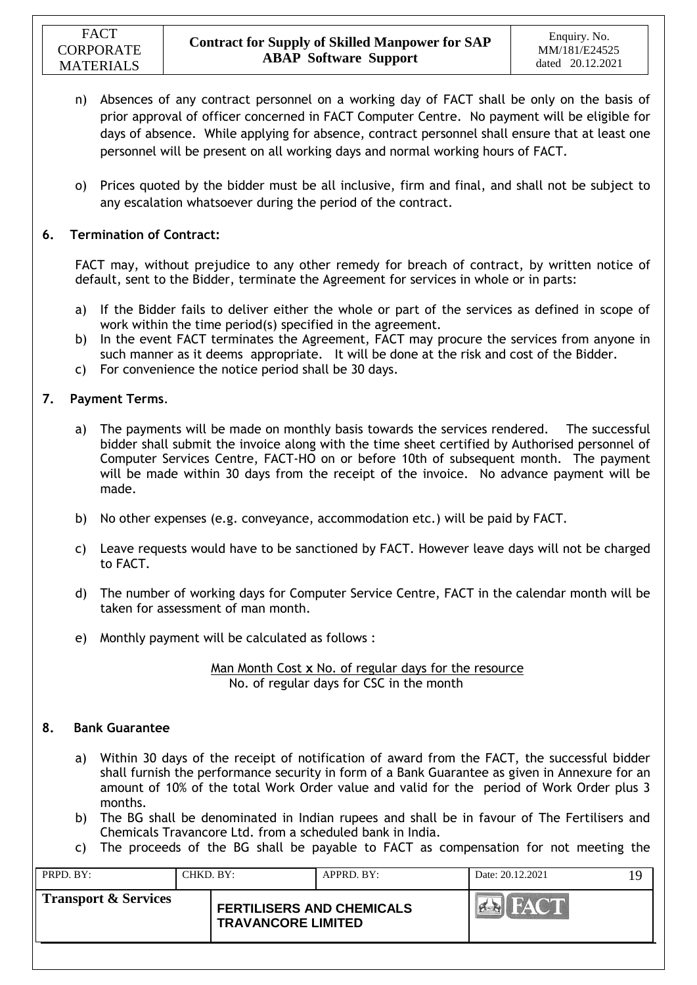- n) Absences of any contract personnel on a working day of FACT shall be only on the basis of prior approval of officer concerned in FACT Computer Centre. No payment will be eligible for days of absence. While applying for absence, contract personnel shall ensure that at least one personnel will be present on all working days and normal working hours of FACT.
- o) Prices quoted by the bidder must be all inclusive, firm and final, and shall not be subject to any escalation whatsoever during the period of the contract.

### **6. Termination of Contract:**

FACT may, without prejudice to any other remedy for breach of contract, by written notice of default, sent to the Bidder, terminate the Agreement for services in whole or in parts:

- a) If the Bidder fails to deliver either the whole or part of the services as defined in scope of work within the time period(s) specified in the agreement.
- b) In the event FACT terminates the Agreement, FACT may procure the services from anyone in such manner as it deems appropriate. It will be done at the risk and cost of the Bidder.
- c) For convenience the notice period shall be 30 days.

### **7. Payment Terms**.

- a) The payments will be made on monthly basis towards the services rendered. The successful bidder shall submit the invoice along with the time sheet certified by Authorised personnel of Computer Services Centre, FACT-HO on or before 10th of subsequent month. The payment will be made within 30 days from the receipt of the invoice. No advance payment will be made.
- b) No other expenses (e.g. conveyance, accommodation etc.) will be paid by FACT.
- c) Leave requests would have to be sanctioned by FACT. However leave days will not be charged to FACT.
- d) The number of working days for Computer Service Centre, FACT in the calendar month will be taken for assessment of man month.
- e) Monthly payment will be calculated as follows :

Man Month Cost **x** No. of regular days for the resource No. of regular days for CSC in the month

#### **8. Bank Guarantee**

- a) Within 30 days of the receipt of notification of award from the FACT, the successful bidder shall furnish the performance security in form of a Bank Guarantee as given in Annexure for an amount of 10% of the total Work Order value and valid for the period of Work Order plus 3 months.
- b) The BG shall be denominated in Indian rupees and shall be in favour of The Fertilisers and Chemicals Travancore Ltd. from a scheduled bank in India.
- c) The proceeds of the BG shall be payable to FACT as compensation for not meeting the

| PRPD. BY:<br>CHKD, BY:          | $APPRD$ . BY:                                                 | Date: 20.12.2021 | 19 |
|---------------------------------|---------------------------------------------------------------|------------------|----|
| <b>Transport &amp; Services</b> | <b>FERTILISERS AND CHEMICALS</b><br><b>TRAVANCORE LIMITED</b> | <b>PLACE</b>     |    |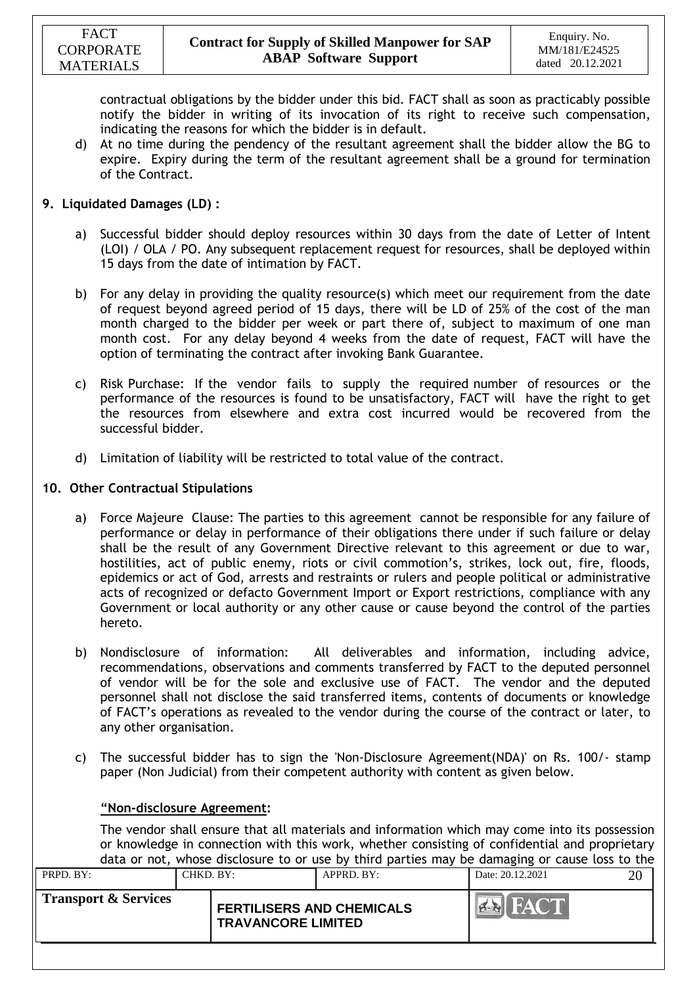contractual obligations by the bidder under this bid. FACT shall as soon as practicably possible notify the bidder in writing of its invocation of its right to receive such compensation, indicating the reasons for which the bidder is in default.

d) At no time during the pendency of the resultant agreement shall the bidder allow the BG to expire. Expiry during the term of the resultant agreement shall be a ground for termination of the Contract.

### **9. Liquidated Damages (LD) :**

- a) Successful bidder should deploy resources within 30 days from the date of Letter of Intent (LOI) / OLA / PO. Any subsequent replacement request for resources, shall be deployed within 15 days from the date of intimation by FACT.
- b) For any delay in providing the quality resource(s) which meet our requirement from the date of request beyond agreed period of 15 days, there will be LD of 25% of the cost of the man month charged to the bidder per week or part there of, subject to maximum of one man month cost. For any delay beyond 4 weeks from the date of request, FACT will have the option of terminating the contract after invoking Bank Guarantee.
- c) Risk Purchase: If the vendor fails to supply the required number of resources or the performance of the resources is found to be unsatisfactory, FACT will have the right to get the resources from elsewhere and extra cost incurred would be recovered from the successful bidder.
- d) Limitation of liability will be restricted to total value of the contract.

#### **10. Other Contractual Stipulations**

- a) Force Majeure Clause: The parties to this agreement cannot be responsible for any failure of performance or delay in performance of their obligations there under if such failure or delay shall be the result of any Government Directive relevant to this agreement or due to war, hostilities, act of public enemy, riots or civil commotion's, strikes, lock out, fire, floods, epidemics or act of God, arrests and restraints or rulers and people political or administrative acts of recognized or defacto Government Import or Export restrictions, compliance with any Government or local authority or any other cause or cause beyond the control of the parties hereto.
- b) Nondisclosure of information: All deliverables and information, including advice, recommendations, observations and comments transferred by FACT to the deputed personnel of vendor will be for the sole and exclusive use of FACT. The vendor and the deputed personnel shall not disclose the said transferred items, contents of documents or knowledge of FACT's operations as revealed to the vendor during the course of the contract or later, to any other organisation.
- c) The successful bidder has to sign the 'Non-Disclosure Agreement(NDA)' on Rs. 100/- stamp paper (Non Judicial) from their competent authority with content as given below.

#### **"Non-disclosure Agreement:**

The vendor shall ensure that all materials and information which may come into its possession or knowledge in connection with this work, whether consisting of confidential and proprietary data or not, whose disclosure to or use by third parties may be damaging or cause loss to the

|                      |           |                                                               |            | adia of five, whose absences to be ase by third parties may be damaging or cause toss to the |    |
|----------------------|-----------|---------------------------------------------------------------|------------|----------------------------------------------------------------------------------------------|----|
| PRPD. BY:            | CHKD. BY: |                                                               | APPRD. BY: | Date: 20.12.2021                                                                             | 20 |
| Transport & Services |           | <b>FERTILISERS AND CHEMICALS</b><br><b>TRAVANCORE LIMITED</b> |            | <b>EN FACT</b>                                                                               |    |
|                      |           |                                                               |            |                                                                                              |    |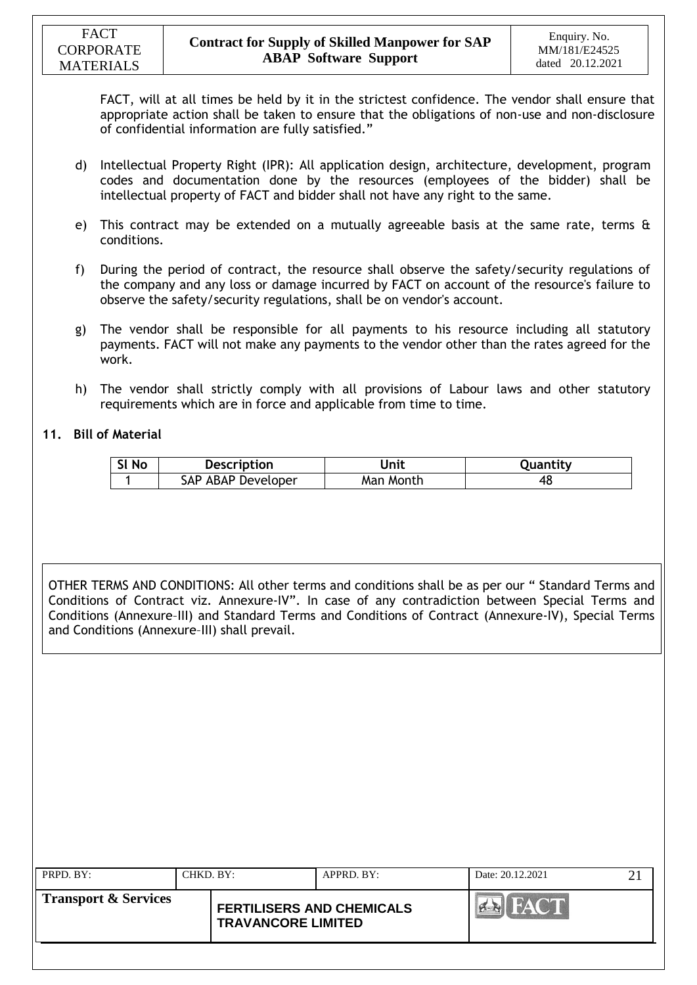FACT, will at all times be held by it in the strictest confidence. The vendor shall ensure that appropriate action shall be taken to ensure that the obligations of non-use and non-disclosure of confidential information are fully satisfied."

- d) Intellectual Property Right (IPR): All application design, architecture, development, program codes and documentation done by the resources (employees of the bidder) shall be intellectual property of FACT and bidder shall not have any right to the same.
- e) This contract may be extended on a mutually agreeable basis at the same rate, terms & conditions.
- f) During the period of contract, the resource shall observe the safety/security regulations of the company and any loss or damage incurred by FACT on account of the resource's failure to observe the safety/security regulations, shall be on vendor's account.
- g) The vendor shall be responsible for all payments to his resource including all statutory payments. FACT will not make any payments to the vendor other than the rates agreed for the work.
- h) The vendor shall strictly comply with all provisions of Labour laws and other statutory requirements which are in force and applicable from time to time.

### **11. Bill of Material**

| SI No | <b>Description</b> | Jnit      | Quantity |
|-------|--------------------|-----------|----------|
|       | SAP ABAP Developer | Man Month | 4۵       |

OTHER TERMS AND CONDITIONS: All other terms and conditions shall be as per our " Standard Terms and Conditions of Contract viz. Annexure-IV". In case of any contradiction between Special Terms and Conditions (Annexure–III) and Standard Terms and Conditions of Contract (Annexure-IV), Special Terms and Conditions (Annexure–III) shall prevail.

| PRPD. BY:            | CHKD. BY: |                                                               | $APPRD$ . BY: | Date: 20.12.2021 |  |
|----------------------|-----------|---------------------------------------------------------------|---------------|------------------|--|
| Transport & Services |           | <b>FERTILISERS AND CHEMICALS</b><br><b>TRAVANCORE LIMITED</b> |               |                  |  |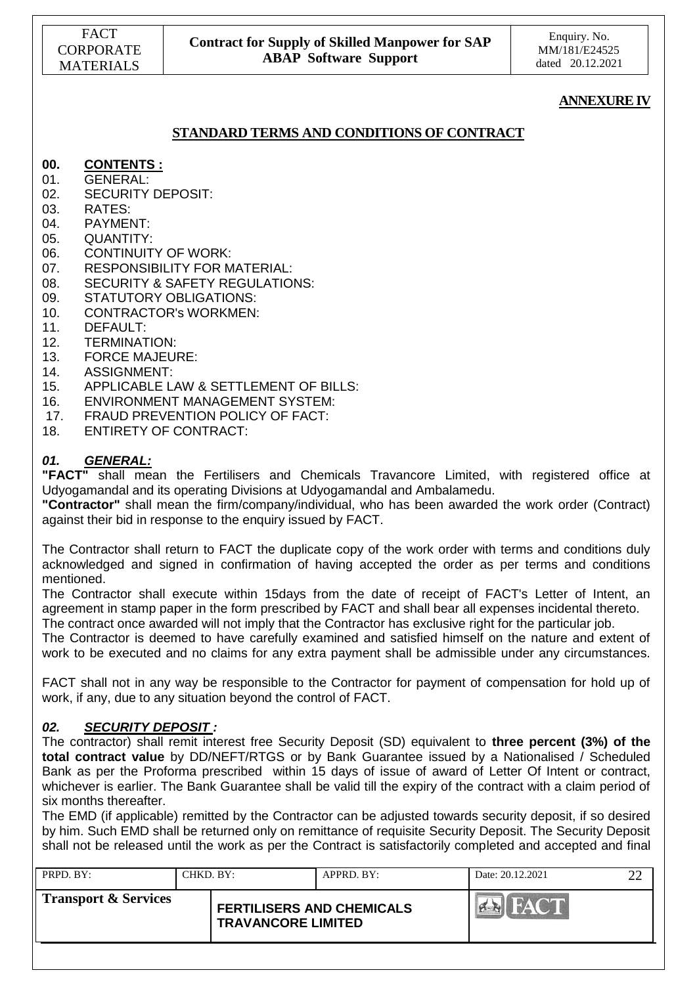### **ANNEXURE IV**

### **STANDARD TERMS AND CONDITIONS OF CONTRACT**

### **00. CONTENTS :**

- 01. GENERAL:
- 02. SECURITY DEPOSIT:
- 03. RATES:
- 04. PAYMENT:
- 05. QUANTITY:
- 06. CONTINUITY OF WORK:
- 07. RESPONSIBILITY FOR MATERIAL:
- 08. SECURITY & SAFETY REGULATIONS:
- 09. STATUTORY OBLIGATIONS:
- 10. CONTRACTOR's WORKMEN:
- 11. DEFAULT:
- 12. TERMINATION:
- 13. FORCE MAJEURE:
- 14. ASSIGNMENT:
- 15. APPLICABLE LAW & SETTLEMENT OF BILLS:
- 16. ENVIRONMENT MANAGEMENT SYSTEM:
- 17. FRAUD PREVENTION POLICY OF FACT:
- 18. ENTIRETY OF CONTRACT:

#### *01. GENERAL:*

**"FACT"** shall mean the Fertilisers and Chemicals Travancore Limited, with registered office at Udyogamandal and its operating Divisions at Udyogamandal and Ambalamedu.

**"Contractor"** shall mean the firm/company/individual, who has been awarded the work order (Contract) against their bid in response to the enquiry issued by FACT.

The Contractor shall return to FACT the duplicate copy of the work order with terms and conditions duly acknowledged and signed in confirmation of having accepted the order as per terms and conditions mentioned.

The Contractor shall execute within 15days from the date of receipt of FACT's Letter of Intent, an agreement in stamp paper in the form prescribed by FACT and shall bear all expenses incidental thereto.

The contract once awarded will not imply that the Contractor has exclusive right for the particular job.

The Contractor is deemed to have carefully examined and satisfied himself on the nature and extent of work to be executed and no claims for any extra payment shall be admissible under any circumstances.

FACT shall not in any way be responsible to the Contractor for payment of compensation for hold up of work, if any, due to any situation beyond the control of FACT.

#### *02. SECURITY DEPOSIT :*

The contractor) shall remit interest free Security Deposit (SD) equivalent to **three percent (3%) of the total contract value** by DD/NEFT/RTGS or by Bank Guarantee issued by a Nationalised / Scheduled Bank as per the Proforma prescribed within 15 days of issue of award of Letter Of Intent or contract, whichever is earlier. The Bank Guarantee shall be valid till the expiry of the contract with a claim period of six months thereafter.

The EMD (if applicable) remitted by the Contractor can be adjusted towards security deposit, if so desired by him. Such EMD shall be returned only on remittance of requisite Security Deposit. The Security Deposit shall not be released until the work as per the Contract is satisfactorily completed and accepted and final

| <b>Transport &amp; Services</b>                               |  |
|---------------------------------------------------------------|--|
| <b>FERTILISERS AND CHEMICALS</b><br><b>TRAVANCORE LIMITED</b> |  |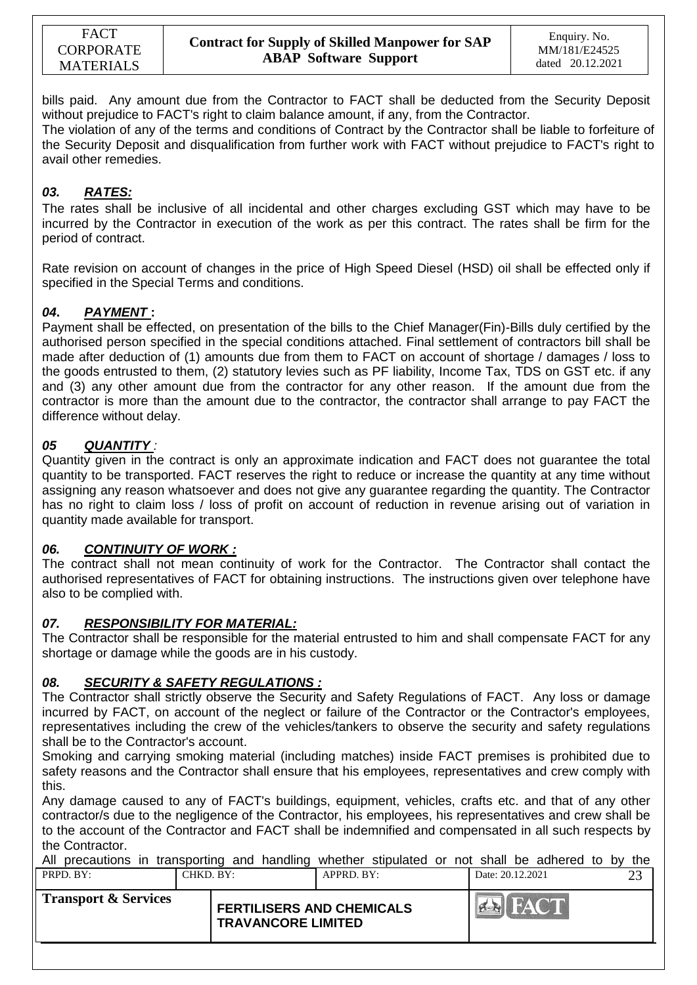bills paid. Any amount due from the Contractor to FACT shall be deducted from the Security Deposit without prejudice to FACT's right to claim balance amount, if any, from the Contractor.

The violation of any of the terms and conditions of Contract by the Contractor shall be liable to forfeiture of the Security Deposit and disqualification from further work with FACT without prejudice to FACT's right to avail other remedies.

## *03. RATES:*

The rates shall be inclusive of all incidental and other charges excluding GST which may have to be incurred by the Contractor in execution of the work as per this contract. The rates shall be firm for the period of contract.

Rate revision on account of changes in the price of High Speed Diesel (HSD) oil shall be effected only if specified in the Special Terms and conditions.

## *04***.** *PAYMENT* **:**

Payment shall be effected, on presentation of the bills to the Chief Manager(Fin)-Bills duly certified by the authorised person specified in the special conditions attached. Final settlement of contractors bill shall be made after deduction of (1) amounts due from them to FACT on account of shortage / damages / loss to the goods entrusted to them, (2) statutory levies such as PF liability, Income Tax, TDS on GST etc. if any and (3) any other amount due from the contractor for any other reason. If the amount due from the contractor is more than the amount due to the contractor, the contractor shall arrange to pay FACT the difference without delay.

## *05 QUANTITY :*

Quantity given in the contract is only an approximate indication and FACT does not guarantee the total quantity to be transported. FACT reserves the right to reduce or increase the quantity at any time without assigning any reason whatsoever and does not give any guarantee regarding the quantity. The Contractor has no right to claim loss / loss of profit on account of reduction in revenue arising out of variation in quantity made available for transport.

### *06. CONTINUITY OF WORK :*

The contract shall not mean continuity of work for the Contractor. The Contractor shall contact the authorised representatives of FACT for obtaining instructions. The instructions given over telephone have also to be complied with.

### *07. RESPONSIBILITY FOR MATERIAL:*

The Contractor shall be responsible for the material entrusted to him and shall compensate FACT for any shortage or damage while the goods are in his custody.

### *08. SECURITY & SAFETY REGULATIONS :*

The Contractor shall strictly observe the Security and Safety Regulations of FACT. Any loss or damage incurred by FACT, on account of the neglect or failure of the Contractor or the Contractor's employees, representatives including the crew of the vehicles/tankers to observe the security and safety regulations shall be to the Contractor's account.

Smoking and carrying smoking material (including matches) inside FACT premises is prohibited due to safety reasons and the Contractor shall ensure that his employees, representatives and crew comply with this.

Any damage caused to any of FACT's buildings, equipment, vehicles, crafts etc. and that of any other contractor/s due to the negligence of the Contractor, his employees, his representatives and crew shall be to the account of the Contractor and FACT shall be indemnified and compensated in all such respects by the Contractor.

| All precautions in transporting and handling whether stipulated or not shall be adhered to by the |  |               |  |                  |  |    |  |                |  |  |  |
|---------------------------------------------------------------------------------------------------|--|---------------|--|------------------|--|----|--|----------------|--|--|--|
| CHKD. BY:<br>PRPD. BY:                                                                            |  | $APPRD$ . BY: |  | Date: 20.12.2021 |  | 23 |  |                |  |  |  |
| <b>Transport &amp; Services</b><br><b>FERTILISERS AND CHEMICALS</b><br><b>TRAVANCORE LIMITED</b>  |  |               |  |                  |  |    |  | <b>EN FACT</b> |  |  |  |
|                                                                                                   |  |               |  |                  |  |    |  |                |  |  |  |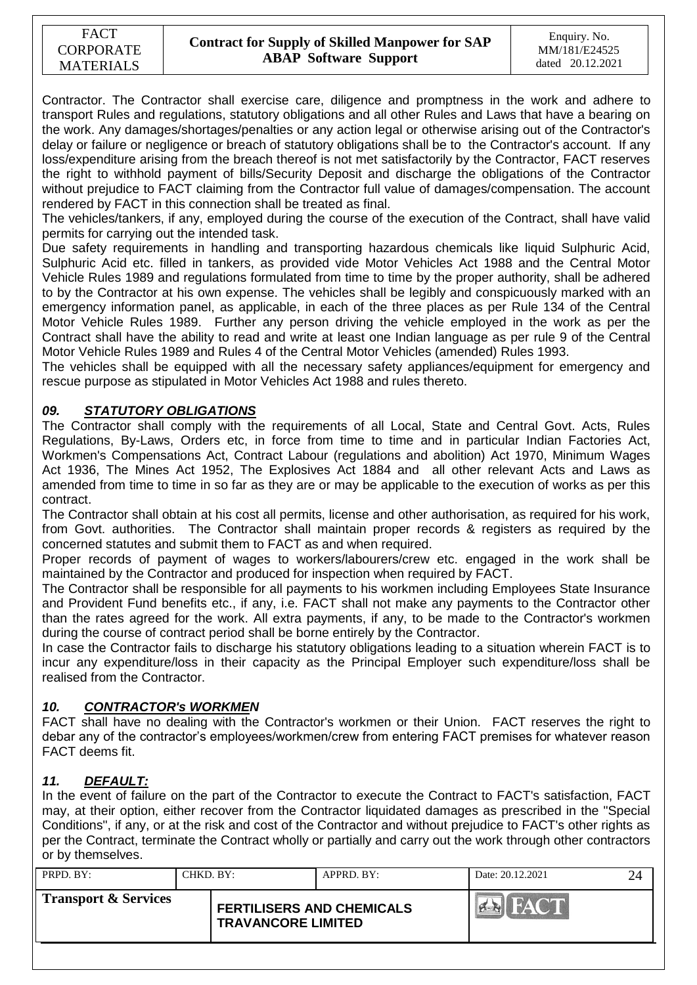Contractor. The Contractor shall exercise care, diligence and promptness in the work and adhere to transport Rules and regulations, statutory obligations and all other Rules and Laws that have a bearing on the work. Any damages/shortages/penalties or any action legal or otherwise arising out of the Contractor's delay or failure or negligence or breach of statutory obligations shall be to the Contractor's account. If any loss/expenditure arising from the breach thereof is not met satisfactorily by the Contractor, FACT reserves the right to withhold payment of bills/Security Deposit and discharge the obligations of the Contractor without prejudice to FACT claiming from the Contractor full value of damages/compensation. The account rendered by FACT in this connection shall be treated as final.

The vehicles/tankers, if any, employed during the course of the execution of the Contract, shall have valid permits for carrying out the intended task.

Due safety requirements in handling and transporting hazardous chemicals like liquid Sulphuric Acid, Sulphuric Acid etc. filled in tankers, as provided vide Motor Vehicles Act 1988 and the Central Motor Vehicle Rules 1989 and regulations formulated from time to time by the proper authority, shall be adhered to by the Contractor at his own expense. The vehicles shall be legibly and conspicuously marked with an emergency information panel, as applicable, in each of the three places as per Rule 134 of the Central Motor Vehicle Rules 1989. Further any person driving the vehicle employed in the work as per the Contract shall have the ability to read and write at least one Indian language as per rule 9 of the Central Motor Vehicle Rules 1989 and Rules 4 of the Central Motor Vehicles (amended) Rules 1993.

The vehicles shall be equipped with all the necessary safety appliances/equipment for emergency and rescue purpose as stipulated in Motor Vehicles Act 1988 and rules thereto.

## *09. STATUTORY OBLIGATIONS*

The Contractor shall comply with the requirements of all Local, State and Central Govt. Acts, Rules Regulations, By-Laws, Orders etc, in force from time to time and in particular Indian Factories Act, Workmen's Compensations Act, Contract Labour (regulations and abolition) Act 1970, Minimum Wages Act 1936, The Mines Act 1952, The Explosives Act 1884 and all other relevant Acts and Laws as amended from time to time in so far as they are or may be applicable to the execution of works as per this contract.

The Contractor shall obtain at his cost all permits, license and other authorisation, as required for his work, from Govt. authorities. The Contractor shall maintain proper records & registers as required by the concerned statutes and submit them to FACT as and when required.

Proper records of payment of wages to workers/labourers/crew etc. engaged in the work shall be maintained by the Contractor and produced for inspection when required by FACT.

The Contractor shall be responsible for all payments to his workmen including Employees State Insurance and Provident Fund benefits etc., if any, i.e. FACT shall not make any payments to the Contractor other than the rates agreed for the work. All extra payments, if any, to be made to the Contractor's workmen during the course of contract period shall be borne entirely by the Contractor.

In case the Contractor fails to discharge his statutory obligations leading to a situation wherein FACT is to incur any expenditure/loss in their capacity as the Principal Employer such expenditure/loss shall be realised from the Contractor.

### *10. CONTRACTOR's WORKMEN*

FACT shall have no dealing with the Contractor's workmen or their Union. FACT reserves the right to debar any of the contractor"s employees/workmen/crew from entering FACT premises for whatever reason FACT deems fit.

## *11. DEFAULT:*

In the event of failure on the part of the Contractor to execute the Contract to FACT's satisfaction, FACT may, at their option, either recover from the Contractor liquidated damages as prescribed in the "Special Conditions", if any, or at the risk and cost of the Contractor and without prejudice to FACT's other rights as per the Contract, terminate the Contract wholly or partially and carry out the work through other contractors or by themselves.

| <b>Transport &amp; Services</b><br><b>FERTILISERS AND CHEMICALS</b><br><b>TRAVANCORE LIMITED</b> | PRPD. BY: | CHKD. BY: | APPRD. BY: | Date: 20.12.2021 | 24 |
|--------------------------------------------------------------------------------------------------|-----------|-----------|------------|------------------|----|
|                                                                                                  |           |           |            |                  |    |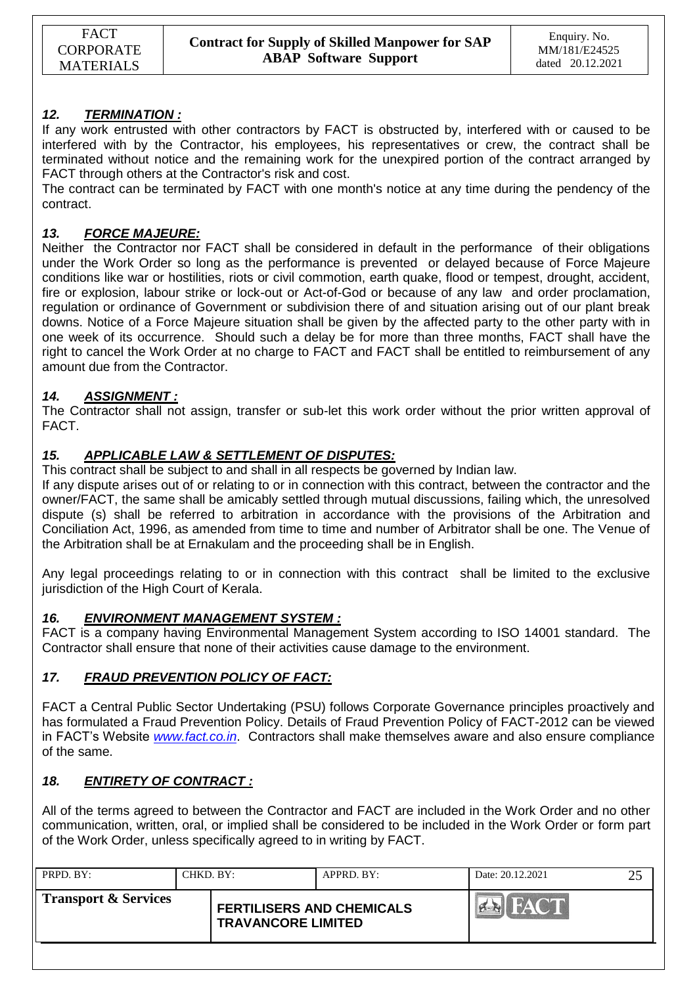## *12. TERMINATION :*

If any work entrusted with other contractors by FACT is obstructed by, interfered with or caused to be interfered with by the Contractor, his employees, his representatives or crew, the contract shall be terminated without notice and the remaining work for the unexpired portion of the contract arranged by FACT through others at the Contractor's risk and cost.

The contract can be terminated by FACT with one month's notice at any time during the pendency of the contract.

### *13. FORCE MAJEURE:*

Neither the Contractor nor FACT shall be considered in default in the performance of their obligations under the Work Order so long as the performance is prevented or delayed because of Force Majeure conditions like war or hostilities, riots or civil commotion, earth quake, flood or tempest, drought, accident, fire or explosion, labour strike or lock-out or Act-of-God or because of any law and order proclamation, regulation or ordinance of Government or subdivision there of and situation arising out of our plant break downs. Notice of a Force Majeure situation shall be given by the affected party to the other party with in one week of its occurrence. Should such a delay be for more than three months, FACT shall have the right to cancel the Work Order at no charge to FACT and FACT shall be entitled to reimbursement of any amount due from the Contractor.

## *14. ASSIGNMENT :*

The Contractor shall not assign, transfer or sub-let this work order without the prior written approval of FACT.

## *15. APPLICABLE LAW & SETTLEMENT OF DISPUTES:*

This contract shall be subject to and shall in all respects be governed by Indian law.

If any dispute arises out of or relating to or in connection with this contract, between the contractor and the owner/FACT, the same shall be amicably settled through mutual discussions, failing which, the unresolved dispute (s) shall be referred to arbitration in accordance with the provisions of the Arbitration and Conciliation Act, 1996, as amended from time to time and number of Arbitrator shall be one. The Venue of the Arbitration shall be at Ernakulam and the proceeding shall be in English.

Any legal proceedings relating to or in connection with this contract shall be limited to the exclusive jurisdiction of the High Court of Kerala.

### *16. ENVIRONMENT MANAGEMENT SYSTEM :*

FACT is a company having Environmental Management System according to ISO 14001 standard. The Contractor shall ensure that none of their activities cause damage to the environment.

### *17. FRAUD PREVENTION POLICY OF FACT:*

FACT a Central Public Sector Undertaking (PSU) follows Corporate Governance principles proactively and has formulated a Fraud Prevention Policy. Details of Fraud Prevention Policy of FACT-2012 can be viewed in FACT"s Website *[www.fact.co.in](http://www.fact.co.in/)*. Contractors shall make themselves aware and also ensure compliance of the same.

### *18. ENTIRETY OF CONTRACT :*

All of the terms agreed to between the Contractor and FACT are included in the Work Order and no other communication, written, oral, or implied shall be considered to be included in the Work Order or form part of the Work Order, unless specifically agreed to in writing by FACT.

| PRPD. BY:                       | CHKD, BY: |                                                               | APPRD. BY: | Date: 20.12.2021 |  |
|---------------------------------|-----------|---------------------------------------------------------------|------------|------------------|--|
| <b>Transport &amp; Services</b> |           | <b>FERTILISERS AND CHEMICALS</b><br><b>TRAVANCORE LIMITED</b> |            |                  |  |
|                                 |           |                                                               |            |                  |  |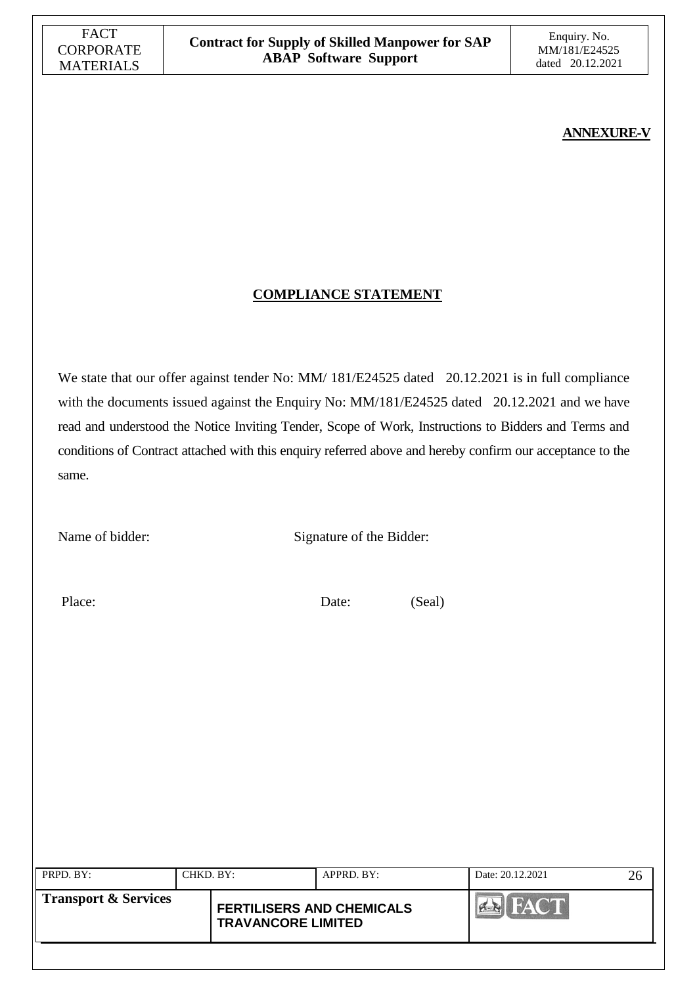## **ANNEXURE-V**

## **COMPLIANCE STATEMENT**

We state that our offer against tender No: MM/ 181/E24525 dated 20.12.2021 is in full compliance with the documents issued against the Enquiry No: MM/181/E24525 dated 20.12.2021 and we have read and understood the Notice Inviting Tender, Scope of Work, Instructions to Bidders and Terms and conditions of Contract attached with this enquiry referred above and hereby confirm our acceptance to the same.

Name of bidder: Signature of the Bidder:

Place: Date: (Seal)

| PRPD. BY:                       | CHKD. BY: |                                                               | APPRD. BY: | Date: 20.12.2021 |  |
|---------------------------------|-----------|---------------------------------------------------------------|------------|------------------|--|
| <b>Transport &amp; Services</b> |           | <b>FERTILISERS AND CHEMICALS</b><br><b>TRAVANCORE LIMITED</b> |            | <b>FACT</b>      |  |
|                                 |           |                                                               |            |                  |  |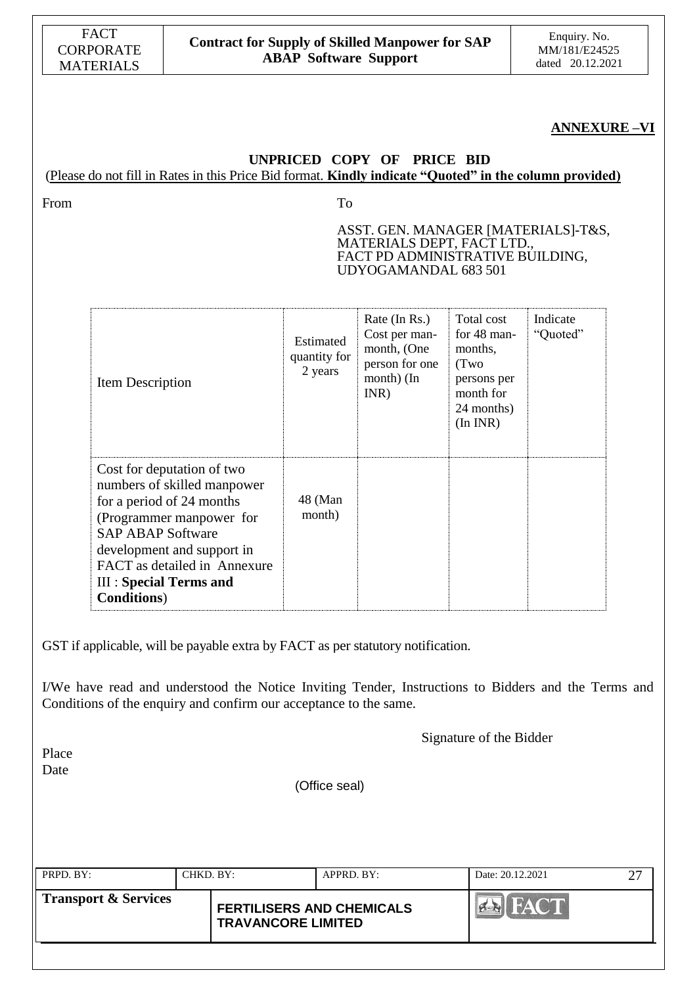| <b>FACT</b>      |
|------------------|
| CORPORATE        |
| <b>MATERIALS</b> |

#### **ANNEXURE –VI**

### **UNPRICED COPY OF PRICE BID** (Please do not fill in Rates in this Price Bid format. **Kindly indicate "Quoted" in the column provided)**

From To

ASST. GEN. MANAGER [MATERIALS]-T&S, MATERIALS DEPT, FACT LTD., FACT PD ADMINISTRATIVE BUILDING, UDYOGAMANDAL 683 501

| Item Description                                                                                                                                                                                                                                                     | Estimated<br>quantity for<br>2 years | Rate (In Rs.)<br>Cost per man-<br>month, (One<br>person for one<br>month) (In<br>INR) | Total cost<br>for 48 man-<br>months,<br>(Two<br>persons per<br>month for<br>24 months)<br>(In INR) | Indicate<br>"Quoted" |
|----------------------------------------------------------------------------------------------------------------------------------------------------------------------------------------------------------------------------------------------------------------------|--------------------------------------|---------------------------------------------------------------------------------------|----------------------------------------------------------------------------------------------------|----------------------|
| Cost for deputation of two<br>numbers of skilled manpower<br>for a period of 24 months<br>(Programmer manpower for<br><b>SAP ABAP Software</b><br>development and support in<br>FACT as detailed in Annexure<br><b>III: Special Terms and</b><br><b>Conditions</b> ) | 48 (Man<br>month)                    |                                                                                       |                                                                                                    |                      |

GST if applicable, will be payable extra by FACT as per statutory notification.

I/We have read and understood the Notice Inviting Tender, Instructions to Bidders and the Terms and Conditions of the enquiry and confirm our acceptance to the same.

Signature of the Bidder

Place Date

(Office seal)

| $\blacksquare$ PRPD. BY: | CHKD. BY: |                                                               | $APPRD$ . BY: | Date: 20.12.2021 |  |
|--------------------------|-----------|---------------------------------------------------------------|---------------|------------------|--|
| Transport & Services     |           | <b>FERTILISERS AND CHEMICALS</b><br><b>TRAVANCORE LIMITED</b> |               | FACT             |  |
|                          |           |                                                               |               |                  |  |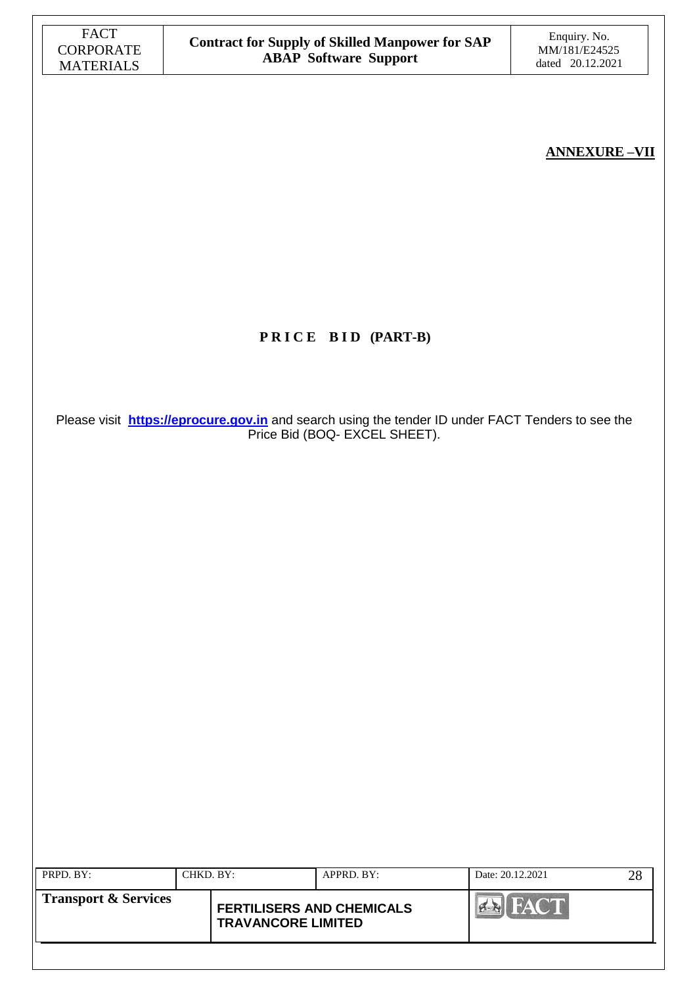## **ANNEXURE –VII**

# **P R I C E B I D (PART-B)**

Please visit **[https://eprocure.gov.in](https://eprocure.gov.in/)** and search using the tender ID under FACT Tenders to see the Price Bid (BOQ- EXCEL SHEET).

| PRPD. BY:                       | CHKD. BY: |                                                               | $APPRD$ . $BY$ : | Date: 20.12.2021 | 28 |
|---------------------------------|-----------|---------------------------------------------------------------|------------------|------------------|----|
| <b>Transport &amp; Services</b> |           | <b>FERTILISERS AND CHEMICALS</b><br><b>TRAVANCORE LIMITED</b> |                  |                  |    |
|                                 |           |                                                               |                  |                  |    |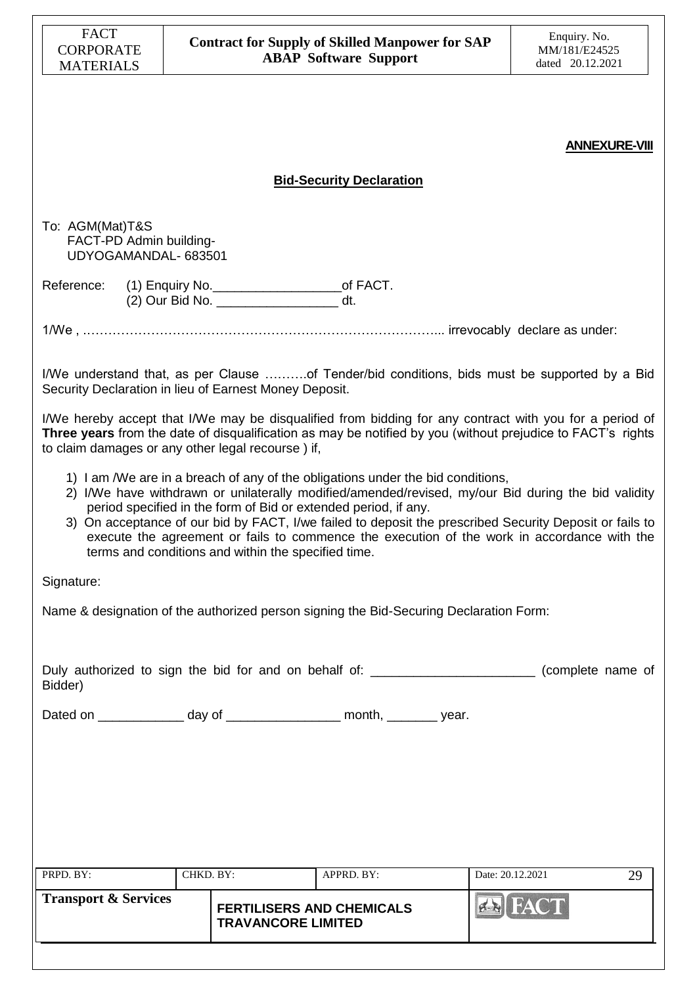| <b>FACT</b><br><b>CORPORATE</b>                                    |           |                                                     | <b>Contract for Supply of Skilled Manpower for SAP</b>                                                                                                                                                                                                                                                                                                                                                                                                              |                  | Enquiry. No.<br>MM/181/E24525 |
|--------------------------------------------------------------------|-----------|-----------------------------------------------------|---------------------------------------------------------------------------------------------------------------------------------------------------------------------------------------------------------------------------------------------------------------------------------------------------------------------------------------------------------------------------------------------------------------------------------------------------------------------|------------------|-------------------------------|
| <b>MATERIALS</b>                                                   |           |                                                     | <b>ABAP Software Support</b>                                                                                                                                                                                                                                                                                                                                                                                                                                        |                  | dated 20.12.2021              |
|                                                                    |           |                                                     |                                                                                                                                                                                                                                                                                                                                                                                                                                                                     |                  | <b>ANNEXURE-VIII</b>          |
|                                                                    |           |                                                     | <b>Bid-Security Declaration</b>                                                                                                                                                                                                                                                                                                                                                                                                                                     |                  |                               |
| To: AGM(Mat)T&S<br>FACT-PD Admin building-<br>UDYOGAMANDAL- 683501 |           |                                                     |                                                                                                                                                                                                                                                                                                                                                                                                                                                                     |                  |                               |
| Reference: (1) Enquiry No. ___________________________of FACT.     |           | (2) Our Bid No. __________________________ dt.      |                                                                                                                                                                                                                                                                                                                                                                                                                                                                     |                  |                               |
|                                                                    |           |                                                     |                                                                                                                                                                                                                                                                                                                                                                                                                                                                     |                  |                               |
| Security Declaration in lieu of Earnest Money Deposit.             |           |                                                     | I/We understand that, as per Clause of Tender/bid conditions, bids must be supported by a Bid                                                                                                                                                                                                                                                                                                                                                                       |                  |                               |
| to claim damages or any other legal recourse) if,                  |           |                                                     | I/We hereby accept that I/We may be disqualified from bidding for any contract with you for a period of<br>Three years from the date of disqualification as may be notified by you (without prejudice to FACT's rights                                                                                                                                                                                                                                              |                  |                               |
|                                                                    |           | terms and conditions and within the specified time. | 1) I am /We are in a breach of any of the obligations under the bid conditions,<br>2) I/We have withdrawn or unilaterally modified/amended/revised, my/our Bid during the bid validity<br>period specified in the form of Bid or extended period, if any.<br>3) On acceptance of our bid by FACT, I/we failed to deposit the prescribed Security Deposit or fails to<br>execute the agreement or fails to commence the execution of the work in accordance with the |                  |                               |
| Signature:                                                         |           |                                                     |                                                                                                                                                                                                                                                                                                                                                                                                                                                                     |                  |                               |
|                                                                    |           |                                                     | Name & designation of the authorized person signing the Bid-Securing Declaration Form:                                                                                                                                                                                                                                                                                                                                                                              |                  |                               |
| Bidder)                                                            |           |                                                     | Duly authorized to sign the bid for and on behalf of: _________________________(complete name of                                                                                                                                                                                                                                                                                                                                                                    |                  |                               |
|                                                                    |           |                                                     | Dated on ________________ day of ____________________ month, ________ year.                                                                                                                                                                                                                                                                                                                                                                                         |                  |                               |
|                                                                    |           |                                                     |                                                                                                                                                                                                                                                                                                                                                                                                                                                                     |                  |                               |
|                                                                    |           |                                                     |                                                                                                                                                                                                                                                                                                                                                                                                                                                                     |                  |                               |
|                                                                    |           |                                                     |                                                                                                                                                                                                                                                                                                                                                                                                                                                                     |                  |                               |
|                                                                    |           |                                                     |                                                                                                                                                                                                                                                                                                                                                                                                                                                                     |                  |                               |
| PRPD. BY:                                                          | CHKD. BY: |                                                     | APPRD. BY:                                                                                                                                                                                                                                                                                                                                                                                                                                                          | Date: 20.12.2021 | 29                            |
| <b>Transport &amp; Services</b>                                    |           | <b>TRAVANCORE LIMITED</b>                           | <b>FERTILISERS AND CHEMICALS</b>                                                                                                                                                                                                                                                                                                                                                                                                                                    | <b>EALLEAD</b>   |                               |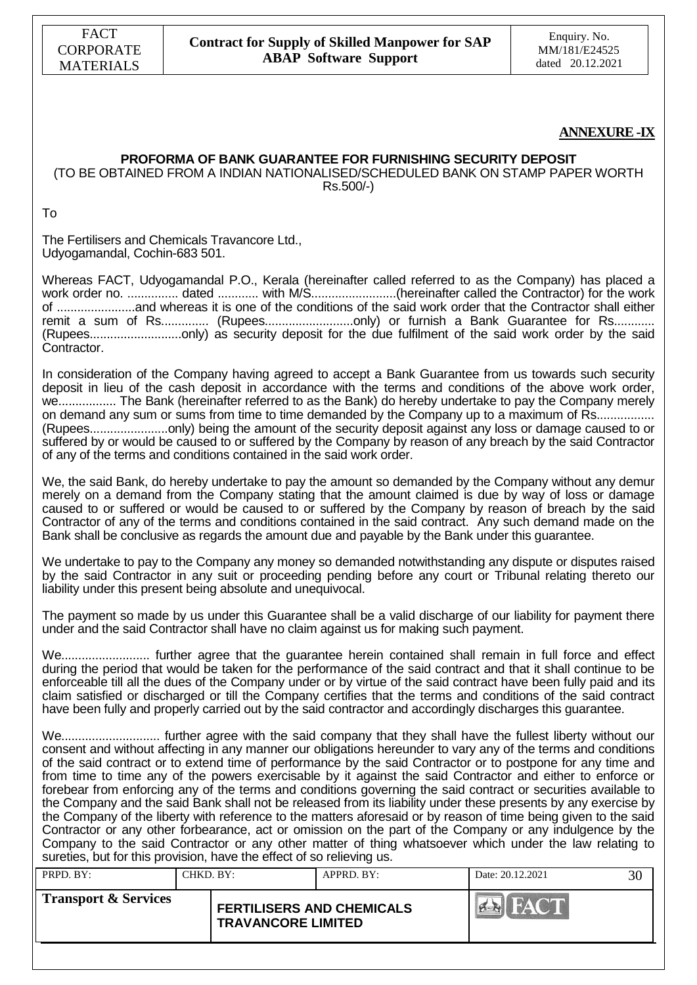

#### **ANNEXURE-IX**

#### **PROFORMA OF BANK GUARANTEE FOR FURNISHING SECURITY DEPOSIT** (TO BE OBTAINED FROM A INDIAN NATIONALISED/SCHEDULED BANK ON STAMP PAPER WORTH

Rs.500/-)

To

The Fertilisers and Chemicals Travancore Ltd., Udyogamandal, Cochin-683 501.

Whereas FACT, Udyogamandal P.O., Kerala (hereinafter called referred to as the Company) has placed a work order no. ............... dated ............ with M/S.........................(hereinafter called the Contractor) for the work of .......................and whereas it is one of the conditions of the said work order that the Contractor shall either remit a sum of Rs............... (Rupees.............................only) or furnish a Bank Guarantee for Rs............ (Rupees...........................only) as security deposit for the due fulfilment of the said work order by the said Contractor.

In consideration of the Company having agreed to accept a Bank Guarantee from us towards such security deposit in lieu of the cash deposit in accordance with the terms and conditions of the above work order, we................. The Bank (hereinafter referred to as the Bank) do hereby undertake to pay the Company merely on demand any sum or sums from time to time demanded by the Company up to a maximum of Rs.................... (Rupees.......................only) being the amount of the security deposit against any loss or damage caused to or suffered by or would be caused to or suffered by the Company by reason of any breach by the said Contractor of any of the terms and conditions contained in the said work order.

We, the said Bank, do hereby undertake to pay the amount so demanded by the Company without any demur merely on a demand from the Company stating that the amount claimed is due by way of loss or damage caused to or suffered or would be caused to or suffered by the Company by reason of breach by the said Contractor of any of the terms and conditions contained in the said contract. Any such demand made on the Bank shall be conclusive as regards the amount due and payable by the Bank under this guarantee.

We undertake to pay to the Company any money so demanded notwithstanding any dispute or disputes raised by the said Contractor in any suit or proceeding pending before any court or Tribunal relating thereto our liability under this present being absolute and unequivocal.

The payment so made by us under this Guarantee shall be a valid discharge of our liability for payment there under and the said Contractor shall have no claim against us for making such payment.

We.......................... further agree that the guarantee herein contained shall remain in full force and effect during the period that would be taken for the performance of the said contract and that it shall continue to be enforceable till all the dues of the Company under or by virtue of the said contract have been fully paid and its claim satisfied or discharged or till the Company certifies that the terms and conditions of the said contract have been fully and properly carried out by the said contractor and accordingly discharges this guarantee.

We............................. further agree with the said company that they shall have the fullest liberty without our consent and without affecting in any manner our obligations hereunder to vary any of the terms and conditions of the said contract or to extend time of performance by the said Contractor or to postpone for any time and from time to time any of the powers exercisable by it against the said Contractor and either to enforce or forebear from enforcing any of the terms and conditions governing the said contract or securities available to the Company and the said Bank shall not be released from its liability under these presents by any exercise by the Company of the liberty with reference to the matters aforesaid or by reason of time being given to the said Contractor or any other forbearance, act or omission on the part of the Company or any indulgence by the Company to the said Contractor or any other matter of thing whatsoever which under the law relating to sureties, but for this provision, have the effect of so relieving us.

| PRPD. BY:                                                                                        | CHKD. BY: |  | $APPRD$ . BY: | Date: 20.12.2021 | 30 |
|--------------------------------------------------------------------------------------------------|-----------|--|---------------|------------------|----|
| <b>Transport &amp; Services</b><br><b>FERTILISERS AND CHEMICALS</b><br><b>TRAVANCORE LIMITED</b> |           |  |               |                  |    |
|                                                                                                  |           |  |               |                  |    |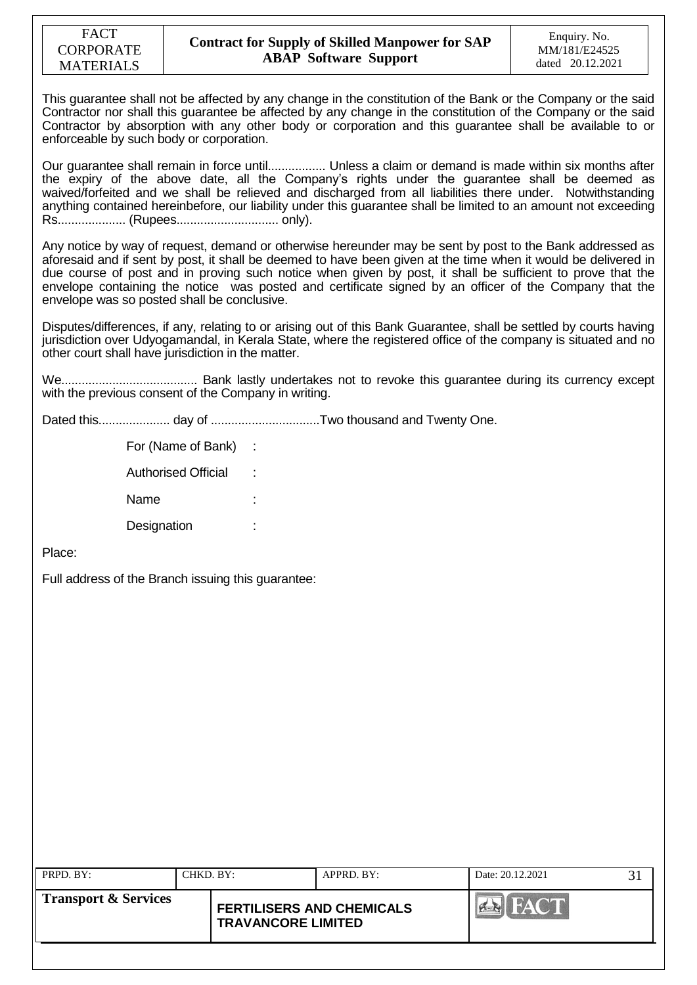This guarantee shall not be affected by any change in the constitution of the Bank or the Company or the said Contractor nor shall this guarantee be affected by any change in the constitution of the Company or the said Contractor by absorption with any other body or corporation and this guarantee shall be available to or enforceable by such body or corporation.

Our guarantee shall remain in force until................. Unless a claim or demand is made within six months after the expiry of the above date, all the Company"s rights under the guarantee shall be deemed as waived/forfeited and we shall be relieved and discharged from all liabilities there under. Notwithstanding anything contained hereinbefore, our liability under this guarantee shall be limited to an amount not exceeding Rs.................... (Rupees.............................. only).

Any notice by way of request, demand or otherwise hereunder may be sent by post to the Bank addressed as aforesaid and if sent by post, it shall be deemed to have been given at the time when it would be delivered in due course of post and in proving such notice when given by post, it shall be sufficient to prove that the envelope containing the notice was posted and certificate signed by an officer of the Company that the envelope was so posted shall be conclusive.

Disputes/differences, if any, relating to or arising out of this Bank Guarantee, shall be settled by courts having jurisdiction over Udyogamandal, in Kerala State, where the registered office of the company is situated and no other court shall have jurisdiction in the matter.

We........................................ Bank lastly undertakes not to revoke this guarantee during its currency except with the previous consent of the Company in writing.

Dated this..................... day of ................................Two thousand and Twenty One.

For (Name of Bank) :

Authorised Official :

Name

Designation

Place:

Full address of the Branch issuing this guarantee:

|                                 | CHKD. BY:                                                     | APPRD. BY: | Date: 20.12.2021 |  |
|---------------------------------|---------------------------------------------------------------|------------|------------------|--|
| <b>Transport &amp; Services</b> | <b>FERTILISERS AND CHEMICALS</b><br><b>TRAVANCORE LIMITED</b> |            |                  |  |